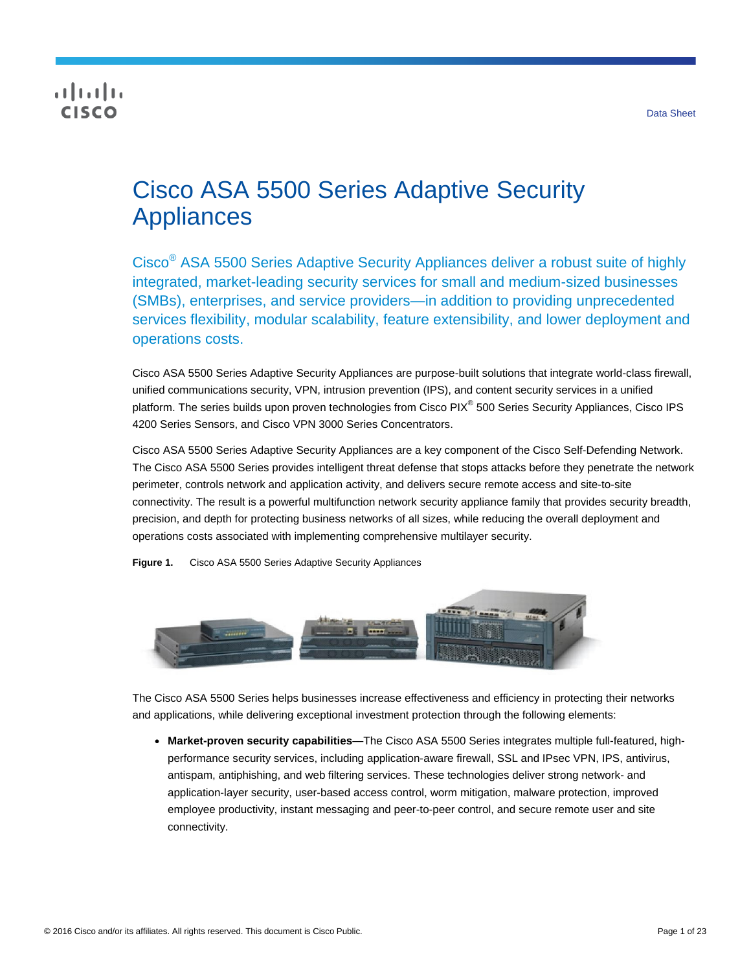# **CISCO**

# Cisco ASA 5500 Series Adaptive Security Appliances

Cisco® ASA 5500 Series Adaptive Security Appliances deliver a robust suite of highly integrated, market-leading security services for small and medium-sized businesses (SMBs), enterprises, and service providers—in addition to providing unprecedented services flexibility, modular scalability, feature extensibility, and lower deployment and operations costs.

Cisco ASA 5500 Series Adaptive Security Appliances are purpose-built solutions that integrate world-class firewall, unified communications security, VPN, intrusion prevention (IPS), and content security services in a unified platform. The series builds upon proven technologies from Cisco PIX<sup>®</sup> 500 Series Security Appliances, Cisco IPS 4200 Series Sensors, and Cisco VPN 3000 Series Concentrators.

Cisco ASA 5500 Series Adaptive Security Appliances are a key component of the Cisco Self-Defending Network. The Cisco ASA 5500 Series provides intelligent threat defense that stops attacks before they penetrate the network perimeter, controls network and application activity, and delivers secure remote access and site-to-site connectivity. The result is a powerful multifunction network security appliance family that provides security breadth, precision, and depth for protecting business networks of all sizes, while reducing the overall deployment and operations costs associated with implementing comprehensive multilayer security.

**Figure 1.** Cisco ASA 5500 Series Adaptive Security Appliances



The Cisco ASA 5500 Series helps businesses increase effectiveness and efficiency in protecting their networks and applications, while delivering exceptional investment protection through the following elements:

● **Market-proven security capabilities**—The Cisco ASA 5500 Series integrates multiple full-featured, highperformance security services, including application-aware firewall, SSL and IPsec VPN, IPS, antivirus, antispam, antiphishing, and web filtering services. These technologies deliver strong network- and application-layer security, user-based access control, worm mitigation, malware protection, improved employee productivity, instant messaging and peer-to-peer control, and secure remote user and site connectivity.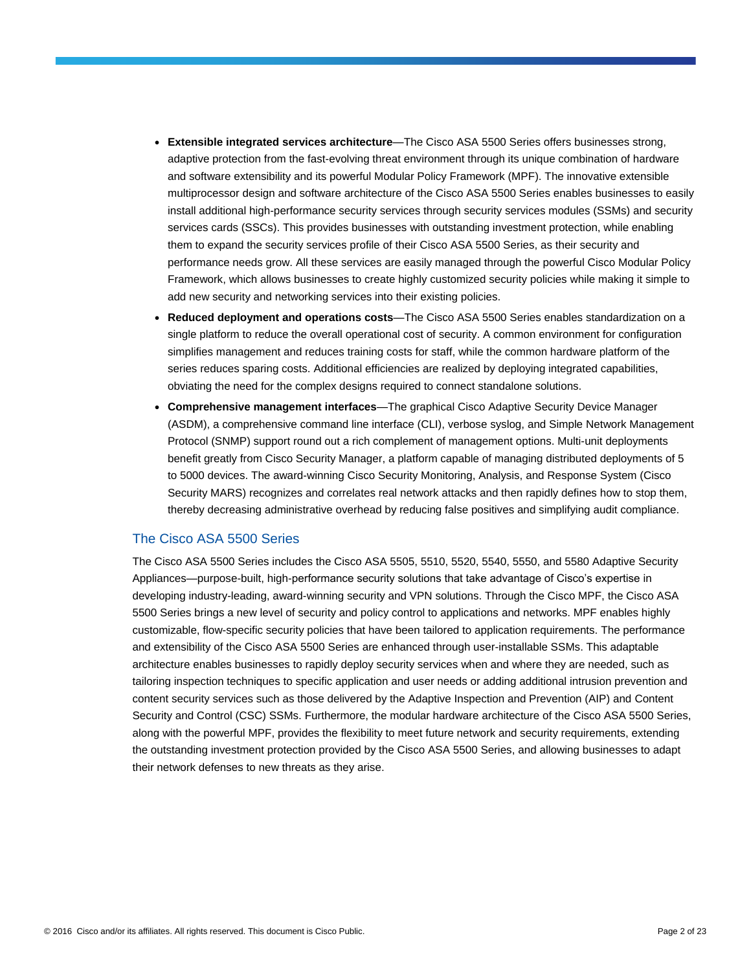- **Extensible integrated services architecture**—The Cisco ASA 5500 Series offers businesses strong, adaptive protection from the fast-evolving threat environment through its unique combination of hardware and software extensibility and its powerful Modular Policy Framework (MPF). The innovative extensible multiprocessor design and software architecture of the Cisco ASA 5500 Series enables businesses to easily install additional high-performance security services through security services modules (SSMs) and security services cards (SSCs). This provides businesses with outstanding investment protection, while enabling them to expand the security services profile of their Cisco ASA 5500 Series, as their security and performance needs grow. All these services are easily managed through the powerful Cisco Modular Policy Framework, which allows businesses to create highly customized security policies while making it simple to add new security and networking services into their existing policies.
- **Reduced deployment and operations costs**—The Cisco ASA 5500 Series enables standardization on a single platform to reduce the overall operational cost of security. A common environment for configuration simplifies management and reduces training costs for staff, while the common hardware platform of the series reduces sparing costs. Additional efficiencies are realized by deploying integrated capabilities, obviating the need for the complex designs required to connect standalone solutions.
- **Comprehensive management interfaces**—The graphical Cisco Adaptive Security Device Manager (ASDM), a comprehensive command line interface (CLI), verbose syslog, and Simple Network Management Protocol (SNMP) support round out a rich complement of management options. Multi-unit deployments benefit greatly from Cisco Security Manager, a platform capable of managing distributed deployments of 5 to 5000 devices. The award-winning Cisco Security Monitoring, Analysis, and Response System (Cisco Security MARS) recognizes and correlates real network attacks and then rapidly defines how to stop them, thereby decreasing administrative overhead by reducing false positives and simplifying audit compliance.

#### The Cisco ASA 5500 Series

The Cisco ASA 5500 Series includes the Cisco ASA 5505, 5510, 5520, 5540, 5550, and 5580 Adaptive Security Appliances—purpose-built, high-performance security solutions that take advantage of Cisco's expertise in developing industry-leading, award-winning security and VPN solutions. Through the Cisco MPF, the Cisco ASA 5500 Series brings a new level of security and policy control to applications and networks. MPF enables highly customizable, flow-specific security policies that have been tailored to application requirements. The performance and extensibility of the Cisco ASA 5500 Series are enhanced through user-installable SSMs. This adaptable architecture enables businesses to rapidly deploy security services when and where they are needed, such as tailoring inspection techniques to specific application and user needs or adding additional intrusion prevention and content security services such as those delivered by the Adaptive Inspection and Prevention (AIP) and Content Security and Control (CSC) SSMs. Furthermore, the modular hardware architecture of the Cisco ASA 5500 Series, along with the powerful MPF, provides the flexibility to meet future network and security requirements, extending the outstanding investment protection provided by the Cisco ASA 5500 Series, and allowing businesses to adapt their network defenses to new threats as they arise.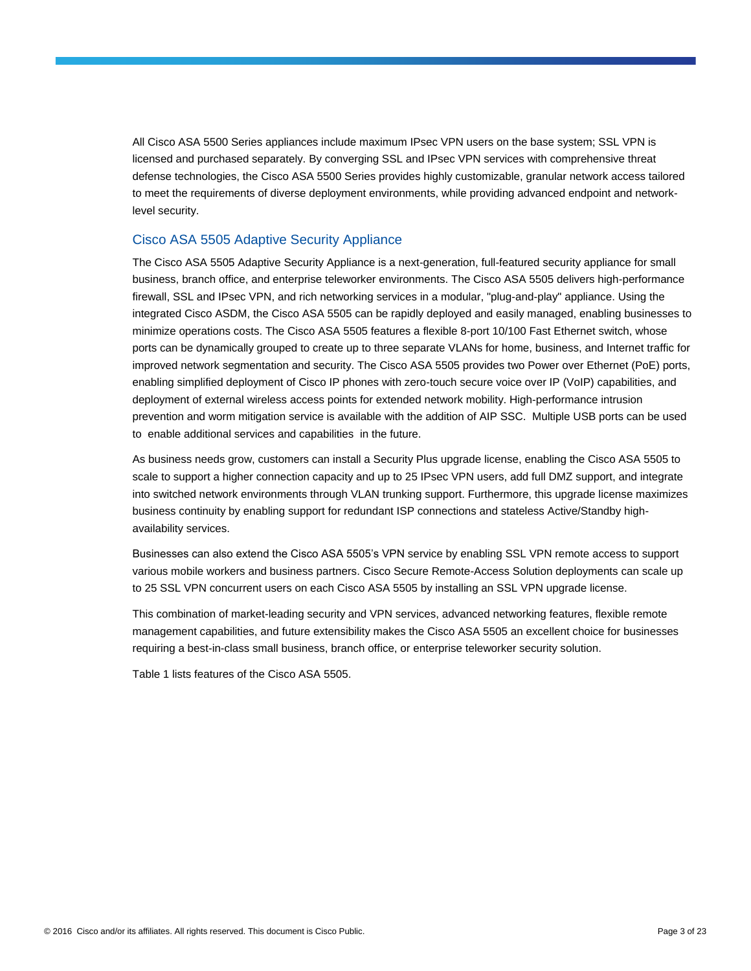All Cisco ASA 5500 Series appliances include maximum IPsec VPN users on the base system; SSL VPN is licensed and purchased separately. By converging SSL and IPsec VPN services with comprehensive threat defense technologies, the Cisco ASA 5500 Series provides highly customizable, granular network access tailored to meet the requirements of diverse deployment environments, while providing advanced endpoint and networklevel security.

#### Cisco ASA 5505 Adaptive Security Appliance

The Cisco ASA 5505 Adaptive Security Appliance is a next-generation, full-featured security appliance for small business, branch office, and enterprise teleworker environments. The Cisco ASA 5505 delivers high-performance firewall, SSL and IPsec VPN, and rich networking services in a modular, "plug-and-play" appliance. Using the integrated Cisco ASDM, the Cisco ASA 5505 can be rapidly deployed and easily managed, enabling businesses to minimize operations costs. The Cisco ASA 5505 features a flexible 8-port 10/100 Fast Ethernet switch, whose ports can be dynamically grouped to create up to three separate VLANs for home, business, and Internet traffic for improved network segmentation and security. The Cisco ASA 5505 provides two Power over Ethernet (PoE) ports, enabling simplified deployment of Cisco IP phones with zero-touch secure voice over IP (VoIP) capabilities, and deployment of external wireless access points for extended network mobility. High-performance intrusion prevention and worm mitigation service is available with the addition of AIP SSC. Multiple USB ports can be used to enable additional services and capabilities in the future.

As business needs grow, customers can install a Security Plus upgrade license, enabling the Cisco ASA 5505 to scale to support a higher connection capacity and up to 25 IPsec VPN users, add full DMZ support, and integrate into switched network environments through VLAN trunking support. Furthermore, this upgrade license maximizes business continuity by enabling support for redundant ISP connections and stateless Active/Standby highavailability services.

Businesses can also extend the Cisco ASA 5505's VPN service by enabling SSL VPN remote access to support various mobile workers and business partners. Cisco Secure Remote-Access Solution deployments can scale up to 25 SSL VPN concurrent users on each Cisco ASA 5505 by installing an SSL VPN upgrade license.

This combination of market-leading security and VPN services, advanced networking features, flexible remote management capabilities, and future extensibility makes the Cisco ASA 5505 an excellent choice for businesses requiring a best-in-class small business, branch office, or enterprise teleworker security solution.

Table 1 lists features of the Cisco ASA 5505.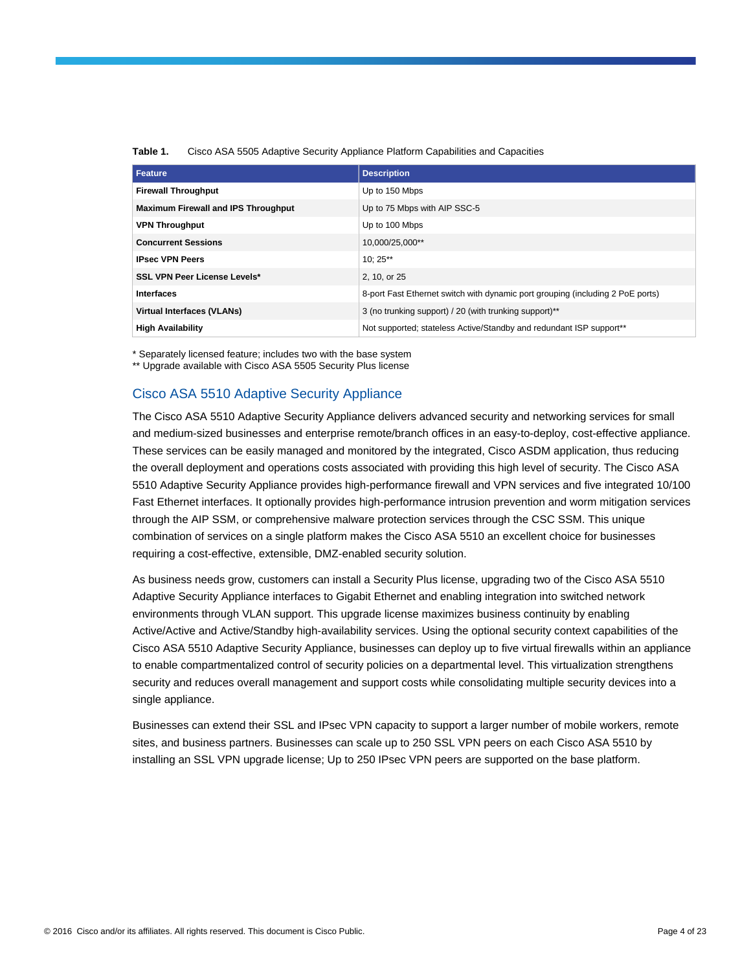| <b>Feature</b>                             | <b>Description</b>                                                             |
|--------------------------------------------|--------------------------------------------------------------------------------|
| <b>Firewall Throughput</b>                 | Up to 150 Mbps                                                                 |
| <b>Maximum Firewall and IPS Throughput</b> | Up to 75 Mbps with AIP SSC-5                                                   |
| <b>VPN Throughput</b>                      | Up to 100 Mbps                                                                 |
| <b>Concurrent Sessions</b>                 | 10,000/25,000**                                                                |
| <b>IPsec VPN Peers</b>                     | $10:25**$                                                                      |
| <b>SSL VPN Peer License Levels*</b>        | 2, 10, or 25                                                                   |
| <b>Interfaces</b>                          | 8-port Fast Ethernet switch with dynamic port grouping (including 2 PoE ports) |
| <b>Virtual Interfaces (VLANs)</b>          | 3 (no trunking support) / 20 (with trunking support)**                         |
| <b>High Availability</b>                   | Not supported; stateless Active/Standby and redundant ISP support**            |

**Table 1.** Cisco ASA 5505 Adaptive Security Appliance Platform Capabilities and Capacities

\* Separately licensed feature; includes two with the base system

\*\* Upgrade available with Cisco ASA 5505 Security Plus license

#### Cisco ASA 5510 Adaptive Security Appliance

The Cisco ASA 5510 Adaptive Security Appliance delivers advanced security and networking services for small and medium-sized businesses and enterprise remote/branch offices in an easy-to-deploy, cost-effective appliance. These services can be easily managed and monitored by the integrated, Cisco ASDM application, thus reducing the overall deployment and operations costs associated with providing this high level of security. The Cisco ASA 5510 Adaptive Security Appliance provides high-performance firewall and VPN services and five integrated 10/100 Fast Ethernet interfaces. It optionally provides high-performance intrusion prevention and worm mitigation services through the AIP SSM, or comprehensive malware protection services through the CSC SSM. This unique combination of services on a single platform makes the Cisco ASA 5510 an excellent choice for businesses requiring a cost-effective, extensible, DMZ-enabled security solution.

As business needs grow, customers can install a Security Plus license, upgrading two of the Cisco ASA 5510 Adaptive Security Appliance interfaces to Gigabit Ethernet and enabling integration into switched network environments through VLAN support. This upgrade license maximizes business continuity by enabling Active/Active and Active/Standby high-availability services. Using the optional security context capabilities of the Cisco ASA 5510 Adaptive Security Appliance, businesses can deploy up to five virtual firewalls within an appliance to enable compartmentalized control of security policies on a departmental level. This virtualization strengthens security and reduces overall management and support costs while consolidating multiple security devices into a single appliance.

Businesses can extend their SSL and IPsec VPN capacity to support a larger number of mobile workers, remote sites, and business partners. Businesses can scale up to 250 SSL VPN peers on each Cisco ASA 5510 by installing an SSL VPN upgrade license; Up to 250 IPsec VPN peers are supported on the base platform.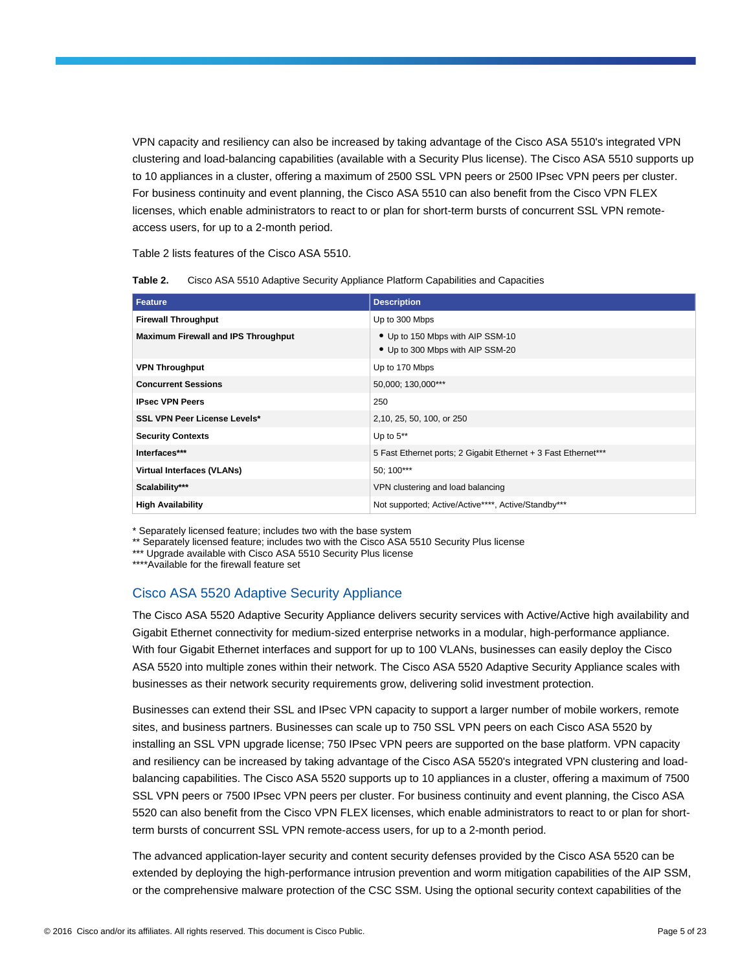VPN capacity and resiliency can also be increased by taking advantage of the Cisco ASA 5510's integrated VPN clustering and load-balancing capabilities (available with a Security Plus license). The Cisco ASA 5510 supports up to 10 appliances in a cluster, offering a maximum of 2500 SSL VPN peers or 2500 IPsec VPN peers per cluster. For business continuity and event planning, the Cisco ASA 5510 can also benefit from the Cisco VPN FLEX licenses, which enable administrators to react to or plan for short-term bursts of concurrent SSL VPN remoteaccess users, for up to a 2-month period.

Table 2 lists features of the Cisco ASA 5510.

| Table 2. | Cisco ASA 5510 Adaptive Security Appliance Platform Capabilities and Capacities |  |  |
|----------|---------------------------------------------------------------------------------|--|--|
|----------|---------------------------------------------------------------------------------|--|--|

| <b>Feature</b>                             | <b>Description</b>                                                   |
|--------------------------------------------|----------------------------------------------------------------------|
| <b>Firewall Throughput</b>                 | Up to 300 Mbps                                                       |
| <b>Maximum Firewall and IPS Throughput</b> | • Up to 150 Mbps with AIP SSM-10<br>• Up to 300 Mbps with AIP SSM-20 |
| <b>VPN Throughput</b>                      | Up to 170 Mbps                                                       |
| <b>Concurrent Sessions</b>                 | 50,000; 130,000***                                                   |
| <b>IPsec VPN Peers</b>                     | 250                                                                  |
| <b>SSL VPN Peer License Levels*</b>        | 2,10, 25, 50, 100, or 250                                            |
| <b>Security Contexts</b>                   | Up to $5**$                                                          |
| Interfaces***                              | 5 Fast Ethernet ports; 2 Gigabit Ethernet + 3 Fast Ethernet***       |
| Virtual Interfaces (VLANs)                 | 50; 100***                                                           |
| Scalability***                             | VPN clustering and load balancing                                    |
| <b>High Availability</b>                   | Not supported; Active/Active****, Active/Standby***                  |

\* Separately licensed feature; includes two with the base system

\*\* Separately licensed feature; includes two with the Cisco ASA 5510 Security Plus license

\*\*\* Upgrade available with Cisco ASA 5510 Security Plus license

\*\*\*\*Available for the firewall feature set

#### Cisco ASA 5520 Adaptive Security Appliance

The Cisco ASA 5520 Adaptive Security Appliance delivers security services with Active/Active high availability and Gigabit Ethernet connectivity for medium-sized enterprise networks in a modular, high-performance appliance. With four Gigabit Ethernet interfaces and support for up to 100 VLANs, businesses can easily deploy the Cisco ASA 5520 into multiple zones within their network. The Cisco ASA 5520 Adaptive Security Appliance scales with businesses as their network security requirements grow, delivering solid investment protection.

Businesses can extend their SSL and IPsec VPN capacity to support a larger number of mobile workers, remote sites, and business partners. Businesses can scale up to 750 SSL VPN peers on each Cisco ASA 5520 by installing an SSL VPN upgrade license; 750 IPsec VPN peers are supported on the base platform. VPN capacity and resiliency can be increased by taking advantage of the Cisco ASA 5520's integrated VPN clustering and loadbalancing capabilities. The Cisco ASA 5520 supports up to 10 appliances in a cluster, offering a maximum of 7500 SSL VPN peers or 7500 IPsec VPN peers per cluster. For business continuity and event planning, the Cisco ASA 5520 can also benefit from the Cisco VPN FLEX licenses, which enable administrators to react to or plan for shortterm bursts of concurrent SSL VPN remote-access users, for up to a 2-month period.

The advanced application-layer security and content security defenses provided by the Cisco ASA 5520 can be extended by deploying the high-performance intrusion prevention and worm mitigation capabilities of the AIP SSM, or the comprehensive malware protection of the CSC SSM. Using the optional security context capabilities of the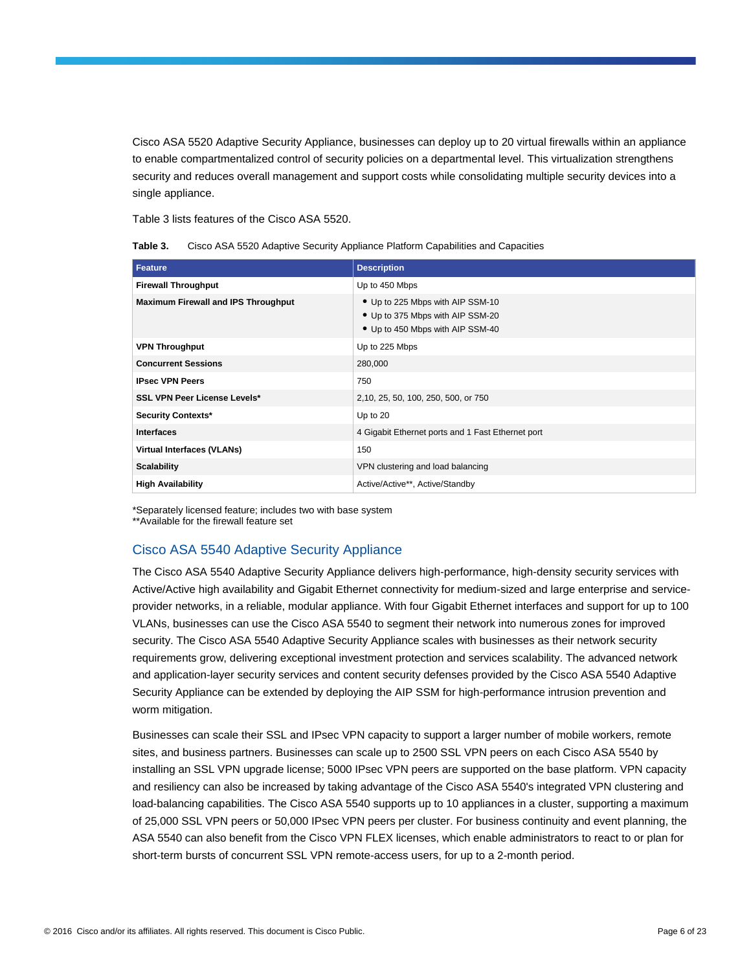Cisco ASA 5520 Adaptive Security Appliance, businesses can deploy up to 20 virtual firewalls within an appliance to enable compartmentalized control of security policies on a departmental level. This virtualization strengthens security and reduces overall management and support costs while consolidating multiple security devices into a single appliance.

Table 3 lists features of the Cisco ASA 5520.

|  | Table 3. | Cisco ASA 5520 Adaptive Security Appliance Platform Capabilities and Capacities |  |  |  |
|--|----------|---------------------------------------------------------------------------------|--|--|--|
|--|----------|---------------------------------------------------------------------------------|--|--|--|

| <b>Feature</b>                             | <b>Description</b>                                                                                       |
|--------------------------------------------|----------------------------------------------------------------------------------------------------------|
| <b>Firewall Throughput</b>                 | Up to 450 Mbps                                                                                           |
| <b>Maximum Firewall and IPS Throughput</b> | • Up to 225 Mbps with AIP SSM-10<br>• Up to 375 Mbps with AIP SSM-20<br>• Up to 450 Mbps with AIP SSM-40 |
| <b>VPN Throughput</b>                      | Up to 225 Mbps                                                                                           |
| <b>Concurrent Sessions</b>                 | 280,000                                                                                                  |
| <b>IPsec VPN Peers</b>                     | 750                                                                                                      |
| <b>SSL VPN Peer License Levels*</b>        | 2,10, 25, 50, 100, 250, 500, or 750                                                                      |
| Security Contexts*                         | Up to 20                                                                                                 |
| <b>Interfaces</b>                          | 4 Gigabit Ethernet ports and 1 Fast Ethernet port                                                        |
| <b>Virtual Interfaces (VLANs)</b>          | 150                                                                                                      |
| <b>Scalability</b>                         | VPN clustering and load balancing                                                                        |
| <b>High Availability</b>                   | Active/Active**, Active/Standby                                                                          |

\*Separately licensed feature; includes two with base system

\*\*Available for the firewall feature set

# Cisco ASA 5540 Adaptive Security Appliance

The Cisco ASA 5540 Adaptive Security Appliance delivers high-performance, high-density security services with Active/Active high availability and Gigabit Ethernet connectivity for medium-sized and large enterprise and serviceprovider networks, in a reliable, modular appliance. With four Gigabit Ethernet interfaces and support for up to 100 VLANs, businesses can use the Cisco ASA 5540 to segment their network into numerous zones for improved security. The Cisco ASA 5540 Adaptive Security Appliance scales with businesses as their network security requirements grow, delivering exceptional investment protection and services scalability. The advanced network and application-layer security services and content security defenses provided by the Cisco ASA 5540 Adaptive Security Appliance can be extended by deploying the AIP SSM for high-performance intrusion prevention and worm mitigation.

Businesses can scale their SSL and IPsec VPN capacity to support a larger number of mobile workers, remote sites, and business partners. Businesses can scale up to 2500 SSL VPN peers on each Cisco ASA 5540 by installing an SSL VPN upgrade license; 5000 IPsec VPN peers are supported on the base platform. VPN capacity and resiliency can also be increased by taking advantage of the Cisco ASA 5540's integrated VPN clustering and load-balancing capabilities. The Cisco ASA 5540 supports up to 10 appliances in a cluster, supporting a maximum of 25,000 SSL VPN peers or 50,000 IPsec VPN peers per cluster. For business continuity and event planning, the ASA 5540 can also benefit from the Cisco VPN FLEX licenses, which enable administrators to react to or plan for short-term bursts of concurrent SSL VPN remote-access users, for up to a 2-month period.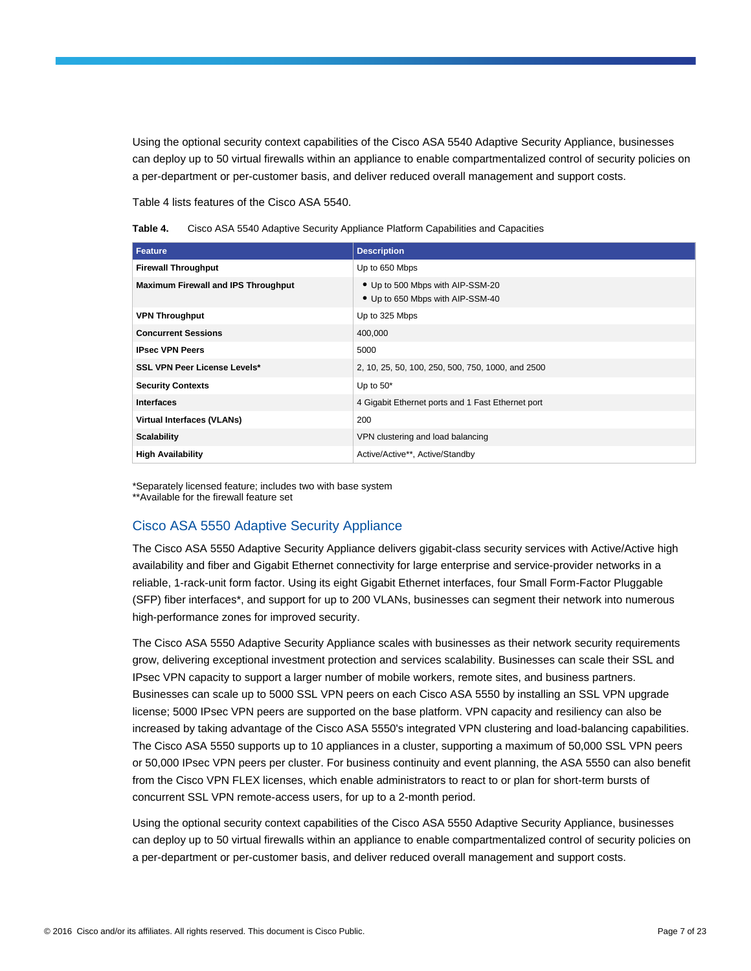Using the optional security context capabilities of the Cisco ASA 5540 Adaptive Security Appliance, businesses can deploy up to 50 virtual firewalls within an appliance to enable compartmentalized control of security policies on a per-department or per-customer basis, and deliver reduced overall management and support costs.

Table 4 lists features of the Cisco ASA 5540.

| Table 4. |  |  |  | Cisco ASA 5540 Adaptive Security Appliance Platform Capabilities and Capacities |
|----------|--|--|--|---------------------------------------------------------------------------------|
|          |  |  |  |                                                                                 |

| <b>Feature</b>                             | <b>Description</b>                                                   |
|--------------------------------------------|----------------------------------------------------------------------|
| <b>Firewall Throughput</b>                 | Up to 650 Mbps                                                       |
| <b>Maximum Firewall and IPS Throughput</b> | • Up to 500 Mbps with AIP-SSM-20<br>• Up to 650 Mbps with AIP-SSM-40 |
| <b>VPN Throughput</b>                      | Up to 325 Mbps                                                       |
| <b>Concurrent Sessions</b>                 | 400,000                                                              |
| <b>IPsec VPN Peers</b>                     | 5000                                                                 |
| <b>SSL VPN Peer License Levels*</b>        | 2, 10, 25, 50, 100, 250, 500, 750, 1000, and 2500                    |
| <b>Security Contexts</b>                   | Up to $50^*$                                                         |
| <b>Interfaces</b>                          | 4 Gigabit Ethernet ports and 1 Fast Ethernet port                    |
| <b>Virtual Interfaces (VLANs)</b>          | 200                                                                  |
| <b>Scalability</b>                         | VPN clustering and load balancing                                    |
| <b>High Availability</b>                   | Active/Active**, Active/Standby                                      |

\*Separately licensed feature; includes two with base system \*\*Available for the firewall feature set

# Cisco ASA 5550 Adaptive Security Appliance

The Cisco ASA 5550 Adaptive Security Appliance delivers gigabit-class security services with Active/Active high availability and fiber and Gigabit Ethernet connectivity for large enterprise and service-provider networks in a reliable, 1-rack-unit form factor. Using its eight Gigabit Ethernet interfaces, four Small Form-Factor Pluggable (SFP) fiber interfaces\*, and support for up to 200 VLANs, businesses can segment their network into numerous high-performance zones for improved security.

The Cisco ASA 5550 Adaptive Security Appliance scales with businesses as their network security requirements grow, delivering exceptional investment protection and services scalability. Businesses can scale their SSL and IPsec VPN capacity to support a larger number of mobile workers, remote sites, and business partners. Businesses can scale up to 5000 SSL VPN peers on each Cisco ASA 5550 by installing an SSL VPN upgrade license; 5000 IPsec VPN peers are supported on the base platform. VPN capacity and resiliency can also be increased by taking advantage of the Cisco ASA 5550's integrated VPN clustering and load-balancing capabilities. The Cisco ASA 5550 supports up to 10 appliances in a cluster, supporting a maximum of 50,000 SSL VPN peers or 50,000 IPsec VPN peers per cluster. For business continuity and event planning, the ASA 5550 can also benefit from the Cisco VPN FLEX licenses, which enable administrators to react to or plan for short-term bursts of concurrent SSL VPN remote-access users, for up to a 2-month period.

Using the optional security context capabilities of the Cisco ASA 5550 Adaptive Security Appliance, businesses can deploy up to 50 virtual firewalls within an appliance to enable compartmentalized control of security policies on a per-department or per-customer basis, and deliver reduced overall management and support costs.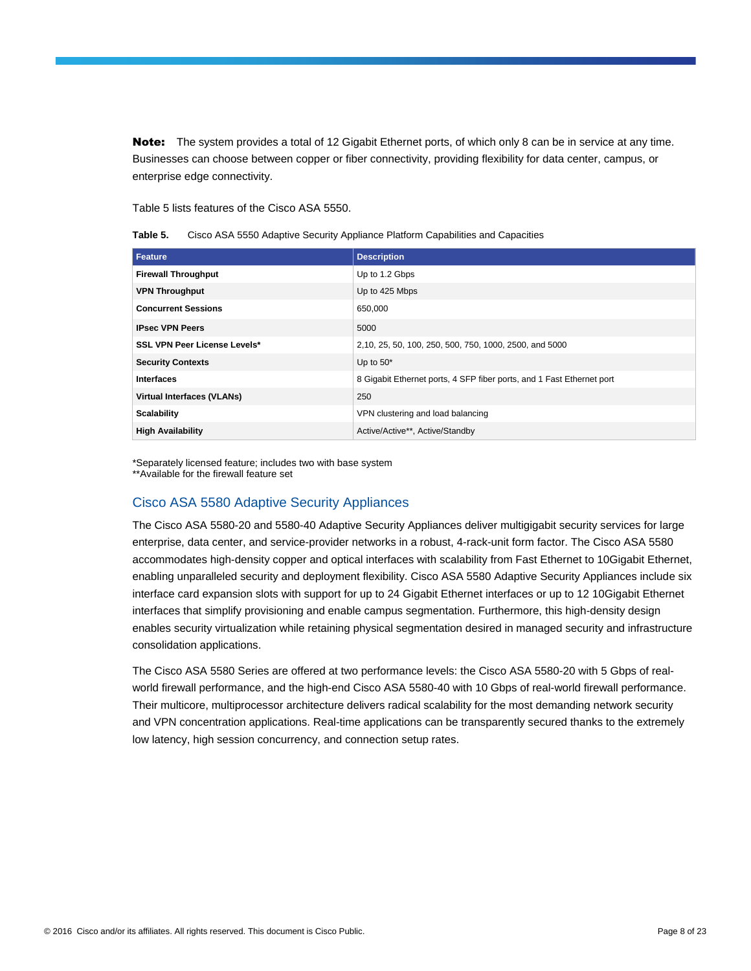Note: The system provides a total of 12 Gigabit Ethernet ports, of which only 8 can be in service at any time. Businesses can choose between copper or fiber connectivity, providing flexibility for data center, campus, or enterprise edge connectivity.

Table 5 lists features of the Cisco ASA 5550.

| Table 5. |  | Cisco ASA 5550 Adaptive Security Appliance Platform Capabilities and Capacities |  |  |  |
|----------|--|---------------------------------------------------------------------------------|--|--|--|
|----------|--|---------------------------------------------------------------------------------|--|--|--|

| Feature                             | <b>Description</b>                                                    |
|-------------------------------------|-----------------------------------------------------------------------|
| <b>Firewall Throughput</b>          | Up to 1.2 Gbps                                                        |
| <b>VPN Throughput</b>               | Up to 425 Mbps                                                        |
| <b>Concurrent Sessions</b>          | 650,000                                                               |
| <b>IPsec VPN Peers</b>              | 5000                                                                  |
| <b>SSL VPN Peer License Levels*</b> | 2,10, 25, 50, 100, 250, 500, 750, 1000, 2500, and 5000                |
| <b>Security Contexts</b>            | Up to $50^*$                                                          |
| <b>Interfaces</b>                   | 8 Gigabit Ethernet ports, 4 SFP fiber ports, and 1 Fast Ethernet port |
| <b>Virtual Interfaces (VLANs)</b>   | 250                                                                   |
| <b>Scalability</b>                  | VPN clustering and load balancing                                     |
| <b>High Availability</b>            | Active/Active**, Active/Standby                                       |

\*Separately licensed feature; includes two with base system \*\*Available for the firewall feature set

## Cisco ASA 5580 Adaptive Security Appliances

The Cisco ASA 5580-20 and 5580-40 Adaptive Security Appliances deliver multigigabit security services for large enterprise, data center, and service-provider networks in a robust, 4-rack-unit form factor. The Cisco ASA 5580 accommodates high-density copper and optical interfaces with scalability from Fast Ethernet to 10Gigabit Ethernet, enabling unparalleled security and deployment flexibility. Cisco ASA 5580 Adaptive Security Appliances include six interface card expansion slots with support for up to 24 Gigabit Ethernet interfaces or up to 12 10Gigabit Ethernet interfaces that simplify provisioning and enable campus segmentation. Furthermore, this high-density design enables security virtualization while retaining physical segmentation desired in managed security and infrastructure consolidation applications.

The Cisco ASA 5580 Series are offered at two performance levels: the Cisco ASA 5580-20 with 5 Gbps of realworld firewall performance, and the high-end Cisco ASA 5580-40 with 10 Gbps of real-world firewall performance. Their multicore, multiprocessor architecture delivers radical scalability for the most demanding network security and VPN concentration applications. Real-time applications can be transparently secured thanks to the extremely low latency, high session concurrency, and connection setup rates.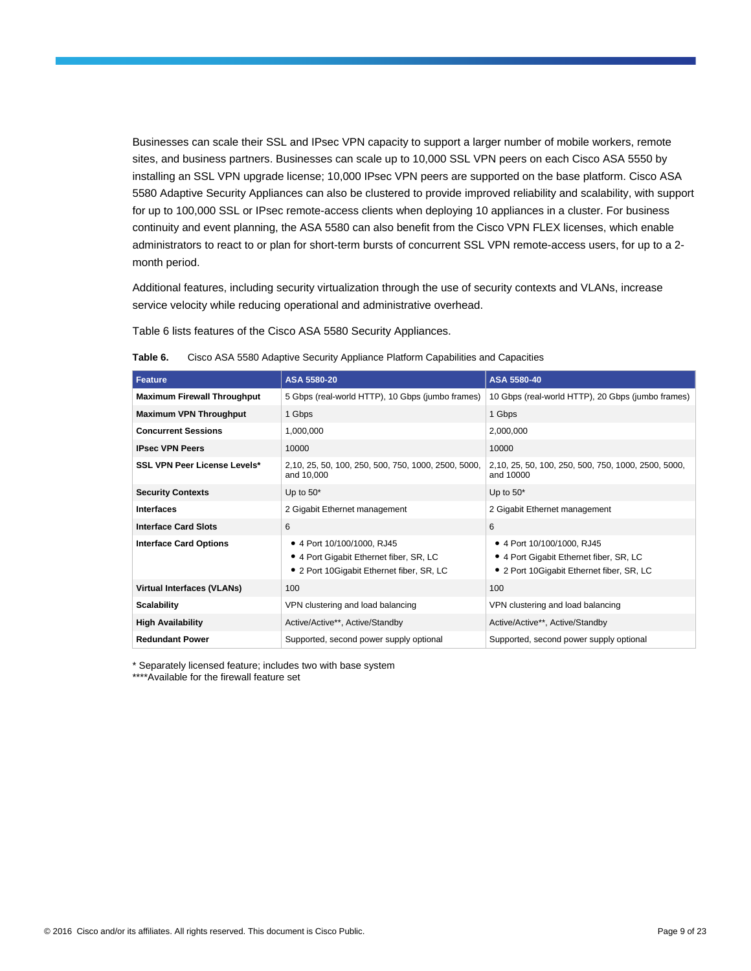Businesses can scale their SSL and IPsec VPN capacity to support a larger number of mobile workers, remote sites, and business partners. Businesses can scale up to 10,000 SSL VPN peers on each Cisco ASA 5550 by installing an SSL VPN upgrade license; 10,000 IPsec VPN peers are supported on the base platform. Cisco ASA 5580 Adaptive Security Appliances can also be clustered to provide improved reliability and scalability, with support for up to 100,000 SSL or IPsec remote-access clients when deploying 10 appliances in a cluster. For business continuity and event planning, the ASA 5580 can also benefit from the Cisco VPN FLEX licenses, which enable administrators to react to or plan for short-term bursts of concurrent SSL VPN remote-access users, for up to a 2 month period.

Additional features, including security virtualization through the use of security contexts and VLANs, increase service velocity while reducing operational and administrative overhead.

Table 6 lists features of the Cisco ASA 5580 Security Appliances.

| <b>Feature</b>                      | ASA 5580-20                                                                                                            | ASA 5580-40                                                                                                         |
|-------------------------------------|------------------------------------------------------------------------------------------------------------------------|---------------------------------------------------------------------------------------------------------------------|
| <b>Maximum Firewall Throughput</b>  | 5 Gbps (real-world HTTP), 10 Gbps (jumbo frames)                                                                       | 10 Gbps (real-world HTTP), 20 Gbps (jumbo frames)                                                                   |
| <b>Maximum VPN Throughput</b>       | 1 Gbps                                                                                                                 | 1 Gbps                                                                                                              |
| <b>Concurrent Sessions</b>          | 1,000,000                                                                                                              | 2,000,000                                                                                                           |
| <b>IPsec VPN Peers</b>              | 10000                                                                                                                  | 10000                                                                                                               |
| <b>SSL VPN Peer License Levels*</b> | 2,10, 25, 50, 100, 250, 500, 750, 1000, 2500, 5000,<br>and 10,000                                                      | 2,10, 25, 50, 100, 250, 500, 750, 1000, 2500, 5000,<br>and 10000                                                    |
| <b>Security Contexts</b>            | Up to $50^*$                                                                                                           | Up to $50^*$                                                                                                        |
| <b>Interfaces</b>                   | 2 Gigabit Ethernet management                                                                                          | 2 Gigabit Ethernet management                                                                                       |
| <b>Interface Card Slots</b>         | 6                                                                                                                      | 6                                                                                                                   |
| <b>Interface Card Options</b>       | • 4 Port 10/100/1000, RJ45<br>• 4 Port Gigabit Ethernet fiber, SR, LC<br>2 Port 10 Gigabit Ethernet fiber, SR, LC<br>٠ | • 4 Port 10/100/1000, RJ45<br>• 4 Port Gigabit Ethernet fiber, SR, LC<br>• 2 Port 10 Gigabit Ethernet fiber, SR, LC |
| <b>Virtual Interfaces (VLANs)</b>   | 100                                                                                                                    | 100                                                                                                                 |
| <b>Scalability</b>                  | VPN clustering and load balancing                                                                                      | VPN clustering and load balancing                                                                                   |
| <b>High Availability</b>            | Active/Active**, Active/Standby                                                                                        | Active/Active**, Active/Standby                                                                                     |
| <b>Redundant Power</b>              | Supported, second power supply optional                                                                                | Supported, second power supply optional                                                                             |

| Table 6. | Cisco ASA 5580 Adaptive Security Appliance Platform Capabilities and Capacities |  |  |  |
|----------|---------------------------------------------------------------------------------|--|--|--|
|          |                                                                                 |  |  |  |

\* Separately licensed feature; includes two with base system

\*\*\*\*Available for the firewall feature set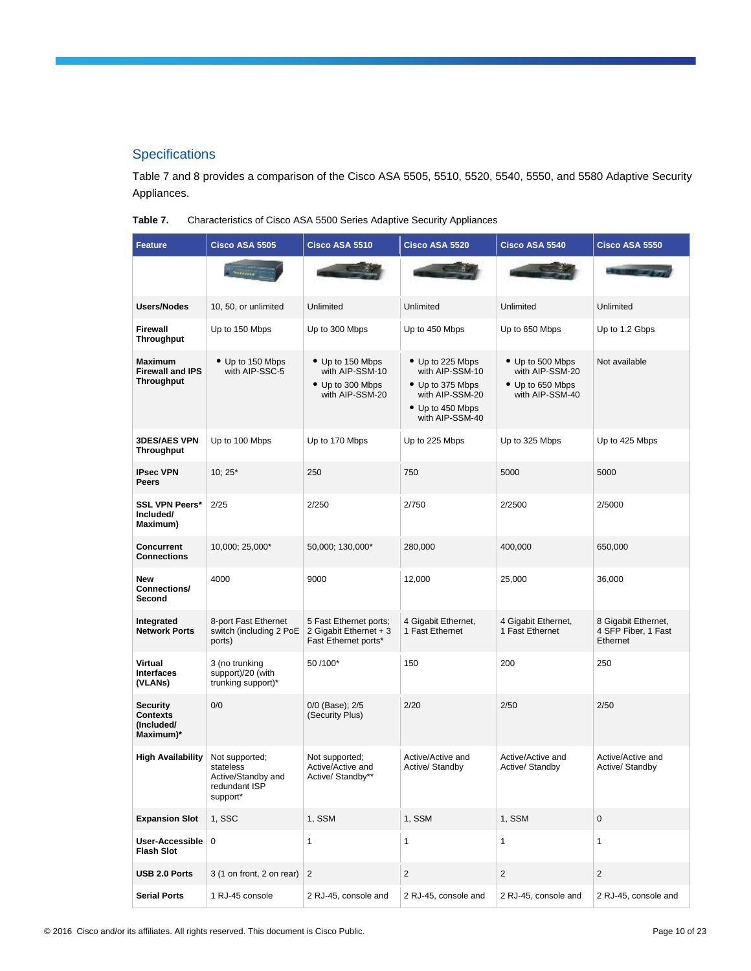# **Specifications**

Table 7 and 8 provides a comparison of the Cisco ASA 5505, 5510, 5520, 5540, 5550, and 5580 Adaptive Security Appliances.

**Table 7.** Characteristics of Cisco ASA 5500 Series Adaptive Security Appliances

| <b>Feature</b>                                                 | <b>Cisco ASA 5505</b>                                                          | Cisco ASA 5510                                                             | Cisco ASA 5520                                                                                                    | Cisco ASA 5540                                                             | <b>Cisco ASA 5550</b>                                  |
|----------------------------------------------------------------|--------------------------------------------------------------------------------|----------------------------------------------------------------------------|-------------------------------------------------------------------------------------------------------------------|----------------------------------------------------------------------------|--------------------------------------------------------|
|                                                                |                                                                                |                                                                            |                                                                                                                   |                                                                            |                                                        |
| <b>Users/Nodes</b>                                             | 10, 50, or unlimited                                                           | Unlimited                                                                  | Unlimited                                                                                                         | Unlimited                                                                  | Unlimited                                              |
| <b>Firewall</b><br><b>Throughput</b>                           | Up to 150 Mbps                                                                 | Up to 300 Mbps                                                             | Up to 450 Mbps                                                                                                    | Up to 650 Mbps                                                             | Up to 1.2 Gbps                                         |
| <b>Maximum</b><br><b>Firewall and IPS</b><br><b>Throughput</b> | • Up to 150 Mbps<br>with AIP-SSC-5                                             | • Up to 150 Mbps<br>with AIP-SSM-10<br>• Up to 300 Mbps<br>with AIP-SSM-20 | • Up to 225 Mbps<br>with AIP-SSM-10<br>• Up to 375 Mbps<br>with AIP-SSM-20<br>• Up to 450 Mbps<br>with AIP-SSM-40 | • Up to 500 Mbps<br>with AIP-SSM-20<br>• Up to 650 Mbps<br>with AIP-SSM-40 | Not available                                          |
| <b>3DES/AES VPN</b><br><b>Throughput</b>                       | Up to 100 Mbps                                                                 | Up to 170 Mbps                                                             | Up to 225 Mbps                                                                                                    | Up to 325 Mbps                                                             | Up to 425 Mbps                                         |
| <b>IPsec VPN</b><br>Peers                                      | $10; 25*$                                                                      | 250                                                                        | 750                                                                                                               | 5000                                                                       | 5000                                                   |
| <b>SSL VPN Peers*</b><br>Included/<br>Maximum)                 | 2/25                                                                           | 2/250                                                                      | 2/750                                                                                                             | 2/2500                                                                     | 2/5000                                                 |
| <b>Concurrent</b><br><b>Connections</b>                        | 10,000; 25,000*                                                                | 50,000; 130,000*                                                           | 280,000                                                                                                           | 400,000                                                                    | 650,000                                                |
| <b>New</b><br>Connections/<br>Second                           | 4000                                                                           | 9000                                                                       | 12,000                                                                                                            | 25,000                                                                     | 36,000                                                 |
| Integrated<br><b>Network Ports</b>                             | 8-port Fast Ethernet<br>switch (including 2 PoE<br>ports)                      | 5 Fast Ethernet ports;<br>2 Gigabit Ethernet + 3<br>Fast Ethernet ports*   | 4 Gigabit Ethernet,<br>1 Fast Ethernet                                                                            | 4 Gigabit Ethernet,<br>1 Fast Ethernet                                     | 8 Gigabit Ethernet,<br>4 SFP Fiber, 1 Fast<br>Ethernet |
| <b>Virtual</b><br><b>Interfaces</b><br>(VLANs)                 | 3 (no trunking<br>support)/20 (with<br>trunking support)*                      | 50/100*                                                                    | 150                                                                                                               | 200                                                                        | 250                                                    |
| Security<br>Contexts<br>(Included/<br>Maximum)*                | 0/0                                                                            | 0/0 (Base); 2/5<br>(Security Plus)                                         | 2/20                                                                                                              | 2/50                                                                       | 2/50                                                   |
| <b>High Availability</b>                                       | Not supported;<br>stateless<br>Active/Standby and<br>redundant ISP<br>support* | Not supported;<br>Active/Active and<br>Active/ Standby**                   | Active/Active and<br>Active/ Standby                                                                              | Active/Active and<br>Active/ Standby                                       | Active/Active and<br>Active/ Standby                   |
| <b>Expansion Slot</b>                                          | 1, SSC                                                                         | 1, SSM                                                                     | 1, SSM                                                                                                            | 1, SSM                                                                     | $\mathbf 0$                                            |
| User-Accessible<br><b>Flash Slot</b>                           | $\mathbf 0$                                                                    | $\mathbf{1}$                                                               | 1                                                                                                                 | $\mathbf{1}$                                                               | $\mathbf{1}$                                           |
| USB 2.0 Ports                                                  | 3 (1 on front, 2 on rear)                                                      | 2                                                                          | $\overline{c}$                                                                                                    | $\overline{2}$                                                             | $\overline{2}$                                         |
| <b>Serial Ports</b>                                            | 1 RJ-45 console                                                                | 2 RJ-45, console and                                                       | 2 RJ-45, console and                                                                                              | 2 RJ-45, console and                                                       | 2 RJ-45, console and                                   |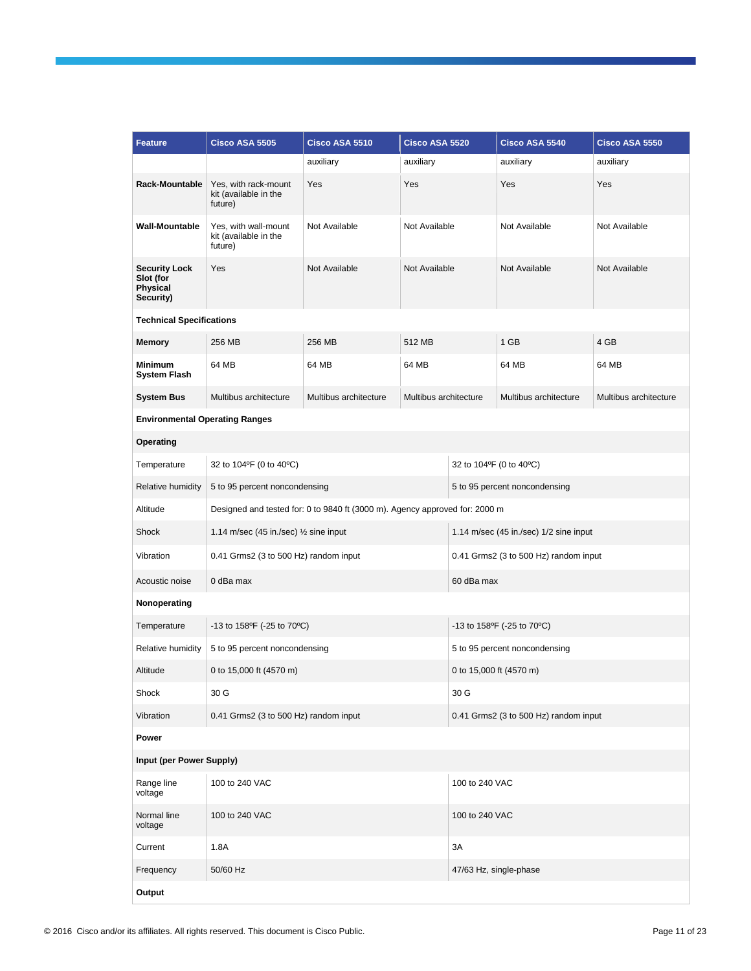| <b>Feature</b>                                             | <b>Cisco ASA 5505</b>                                    | Cisco ASA 5510                                                              | Cisco ASA 5520        |                                       | Cisco ASA 5540                         | Cisco ASA 5550        |
|------------------------------------------------------------|----------------------------------------------------------|-----------------------------------------------------------------------------|-----------------------|---------------------------------------|----------------------------------------|-----------------------|
|                                                            |                                                          | auxiliary                                                                   | auxiliary             |                                       | auxiliary                              | auxiliary             |
| Rack-Mountable                                             | Yes, with rack-mount<br>kit (available in the<br>future) | Yes                                                                         | Yes                   |                                       | Yes                                    | Yes                   |
| <b>Wall-Mountable</b>                                      | Yes, with wall-mount<br>kit (available in the<br>future) | Not Available                                                               | Not Available         |                                       | Not Available                          | Not Available         |
| <b>Security Lock</b><br>Slot (for<br>Physical<br>Security) | Yes                                                      | Not Available                                                               | Not Available         |                                       | Not Available                          | Not Available         |
| <b>Technical Specifications</b>                            |                                                          |                                                                             |                       |                                       |                                        |                       |
| <b>Memory</b>                                              | 256 MB                                                   | 256 MB                                                                      | 512 MB                |                                       | 1 GB                                   | 4 GB                  |
| <b>Minimum</b><br><b>System Flash</b>                      | 64 MB                                                    | 64 MB                                                                       | 64 MB                 |                                       | 64 MB                                  | 64 MB                 |
| <b>System Bus</b>                                          | Multibus architecture                                    | Multibus architecture                                                       | Multibus architecture |                                       | Multibus architecture                  | Multibus architecture |
| <b>Environmental Operating Ranges</b>                      |                                                          |                                                                             |                       |                                       |                                        |                       |
| Operating                                                  |                                                          |                                                                             |                       |                                       |                                        |                       |
| Temperature                                                | 32 to 104°F (0 to 40°C)                                  |                                                                             |                       | 32 to 104°F (0 to 40°C)               |                                        |                       |
| Relative humidity                                          | 5 to 95 percent noncondensing                            |                                                                             |                       | 5 to 95 percent noncondensing         |                                        |                       |
| Altitude                                                   |                                                          | Designed and tested for: 0 to 9840 ft (3000 m). Agency approved for: 2000 m |                       |                                       |                                        |                       |
| Shock                                                      | 1.14 m/sec (45 in /sec) $\frac{1}{2}$ sine input         |                                                                             |                       |                                       | 1.14 m/sec (45 in./sec) 1/2 sine input |                       |
| Vibration                                                  | 0.41 Grms2 (3 to 500 Hz) random input                    |                                                                             |                       |                                       | 0.41 Grms2 (3 to 500 Hz) random input  |                       |
| Acoustic noise                                             | 0 dBa max                                                |                                                                             |                       | 60 dBa max                            |                                        |                       |
| Nonoperating                                               |                                                          |                                                                             |                       |                                       |                                        |                       |
| Temperature                                                | -13 to 158ºF (-25 to 70°C)                               |                                                                             |                       |                                       | -13 to 158ºF (-25 to 70°C)             |                       |
| Relative humidity                                          | 5 to 95 percent noncondensing                            |                                                                             |                       |                                       | 5 to 95 percent noncondensing          |                       |
| Altitude                                                   | 0 to 15,000 ft (4570 m)                                  |                                                                             |                       | 0 to 15,000 ft (4570 m)               |                                        |                       |
| Shock                                                      | 30 G                                                     |                                                                             |                       | 30 G                                  |                                        |                       |
| Vibration                                                  | 0.41 Grms2 (3 to 500 Hz) random input                    |                                                                             |                       | 0.41 Grms2 (3 to 500 Hz) random input |                                        |                       |
| Power                                                      |                                                          |                                                                             |                       |                                       |                                        |                       |
| Input (per Power Supply)                                   |                                                          |                                                                             |                       |                                       |                                        |                       |
| Range line<br>voltage                                      | 100 to 240 VAC                                           |                                                                             |                       | 100 to 240 VAC                        |                                        |                       |
| Normal line<br>voltage                                     | 100 to 240 VAC                                           |                                                                             |                       | 100 to 240 VAC                        |                                        |                       |
| Current                                                    | 1.8A                                                     |                                                                             |                       | 3A                                    |                                        |                       |
| Frequency                                                  | 50/60 Hz                                                 |                                                                             |                       |                                       | 47/63 Hz, single-phase                 |                       |
| Output                                                     |                                                          |                                                                             |                       |                                       |                                        |                       |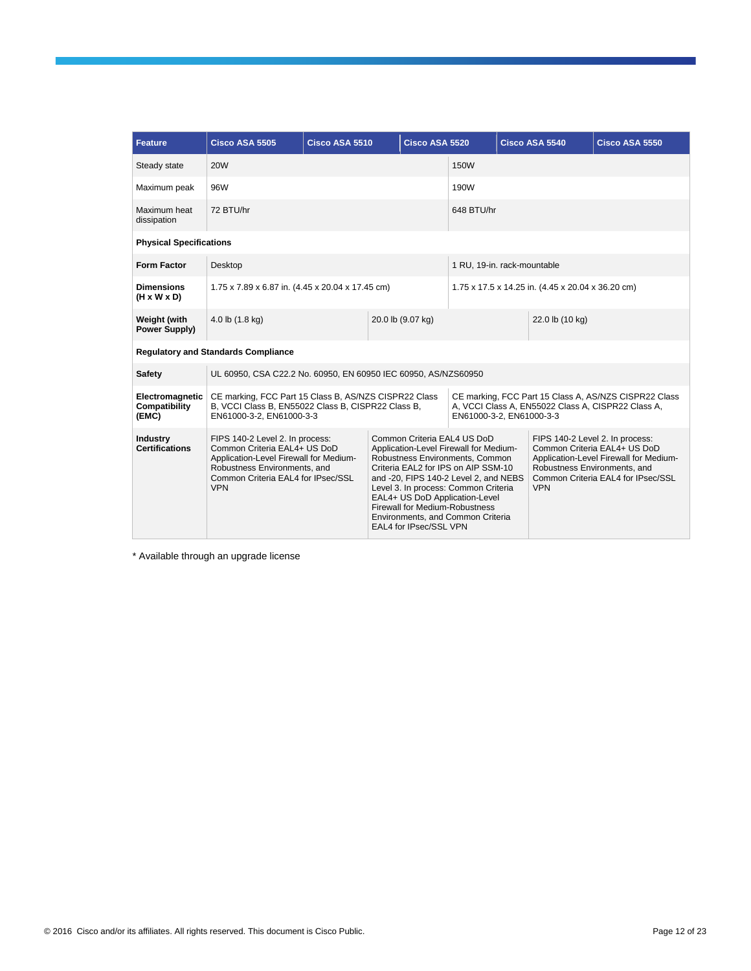| <b>Feature</b>                               | Cisco ASA 5505                                                                                                                                                                                | Cisco ASA 5510 |                                                                                                                                                                                                                                                                                                                                                                            | Cisco ASA 5520                                    |                                                                                                                                         |                 | Cisco ASA 5540                             | Cisco ASA 5550                                                                                                                                  |
|----------------------------------------------|-----------------------------------------------------------------------------------------------------------------------------------------------------------------------------------------------|----------------|----------------------------------------------------------------------------------------------------------------------------------------------------------------------------------------------------------------------------------------------------------------------------------------------------------------------------------------------------------------------------|---------------------------------------------------|-----------------------------------------------------------------------------------------------------------------------------------------|-----------------|--------------------------------------------|-------------------------------------------------------------------------------------------------------------------------------------------------|
| Steady state                                 | <b>20W</b>                                                                                                                                                                                    |                |                                                                                                                                                                                                                                                                                                                                                                            |                                                   | <b>150W</b>                                                                                                                             |                 |                                            |                                                                                                                                                 |
| Maximum peak                                 | 96W                                                                                                                                                                                           |                |                                                                                                                                                                                                                                                                                                                                                                            |                                                   | 190W                                                                                                                                    |                 |                                            |                                                                                                                                                 |
| Maximum heat<br>dissipation                  | 72 BTU/hr                                                                                                                                                                                     |                |                                                                                                                                                                                                                                                                                                                                                                            |                                                   | 648 BTU/hr                                                                                                                              |                 |                                            |                                                                                                                                                 |
| <b>Physical Specifications</b>               |                                                                                                                                                                                               |                |                                                                                                                                                                                                                                                                                                                                                                            |                                                   |                                                                                                                                         |                 |                                            |                                                                                                                                                 |
| <b>Form Factor</b>                           | Desktop                                                                                                                                                                                       |                |                                                                                                                                                                                                                                                                                                                                                                            |                                                   | 1 RU, 19-in. rack-mountable                                                                                                             |                 |                                            |                                                                                                                                                 |
| <b>Dimensions</b><br>$(H \times W \times D)$ | 1.75 x 7.89 x 6.87 in. (4.45 x 20.04 x 17.45 cm)                                                                                                                                              |                |                                                                                                                                                                                                                                                                                                                                                                            | 1.75 x 17.5 x 14.25 in. (4.45 x 20.04 x 36.20 cm) |                                                                                                                                         |                 |                                            |                                                                                                                                                 |
| Weight (with<br><b>Power Supply)</b>         | 4.0 lb (1.8 kg)                                                                                                                                                                               |                |                                                                                                                                                                                                                                                                                                                                                                            | 20.0 lb (9.07 kg)                                 |                                                                                                                                         | 22.0 lb (10 kg) |                                            |                                                                                                                                                 |
|                                              | <b>Regulatory and Standards Compliance</b>                                                                                                                                                    |                |                                                                                                                                                                                                                                                                                                                                                                            |                                                   |                                                                                                                                         |                 |                                            |                                                                                                                                                 |
| <b>Safety</b>                                | UL 60950, CSA C22.2 No. 60950, EN 60950 IEC 60950, AS/NZS60950                                                                                                                                |                |                                                                                                                                                                                                                                                                                                                                                                            |                                                   |                                                                                                                                         |                 |                                            |                                                                                                                                                 |
| Electromagnetic<br>Compatibility<br>(EMC)    | CE marking, FCC Part 15 Class B, AS/NZS CISPR22 Class<br>B, VCCI Class B, EN55022 Class B, CISPR22 Class B,<br>EN61000-3-2, EN61000-3-3                                                       |                |                                                                                                                                                                                                                                                                                                                                                                            |                                                   | CE marking, FCC Part 15 Class A, AS/NZS CISPR22 Class<br>A, VCCI Class A, EN55022 Class A, CISPR22 Class A,<br>EN61000-3-2, EN61000-3-3 |                 |                                            |                                                                                                                                                 |
| <b>Industry</b><br><b>Certifications</b>     | FIPS 140-2 Level 2. In process:<br>Common Criteria EAL4+ US DoD<br>Application-Level Firewall for Medium-<br>Robustness Environments, and<br>Common Criteria EAL4 for IPsec/SSL<br><b>VPN</b> |                | Common Criteria EAL4 US DoD<br>Application-Level Firewall for Medium-<br>Robustness Environments, Common<br>Criteria EAL2 for IPS on AIP SSM-10<br>and -20, FIPS 140-2 Level 2, and NEBS<br>Level 3. In process: Common Criteria<br>EAL4+ US DoD Application-Level<br><b>Firewall for Medium-Robustness</b><br>Environments, and Common Criteria<br>EAL4 for IPsec/SSL VPN |                                                   |                                                                                                                                         |                 | Robustness Environments, and<br><b>VPN</b> | FIPS 140-2 Level 2. In process:<br>Common Criteria EAL4+ US DoD<br>Application-Level Firewall for Medium-<br>Common Criteria EAL4 for IPsec/SSL |

\* Available through an upgrade license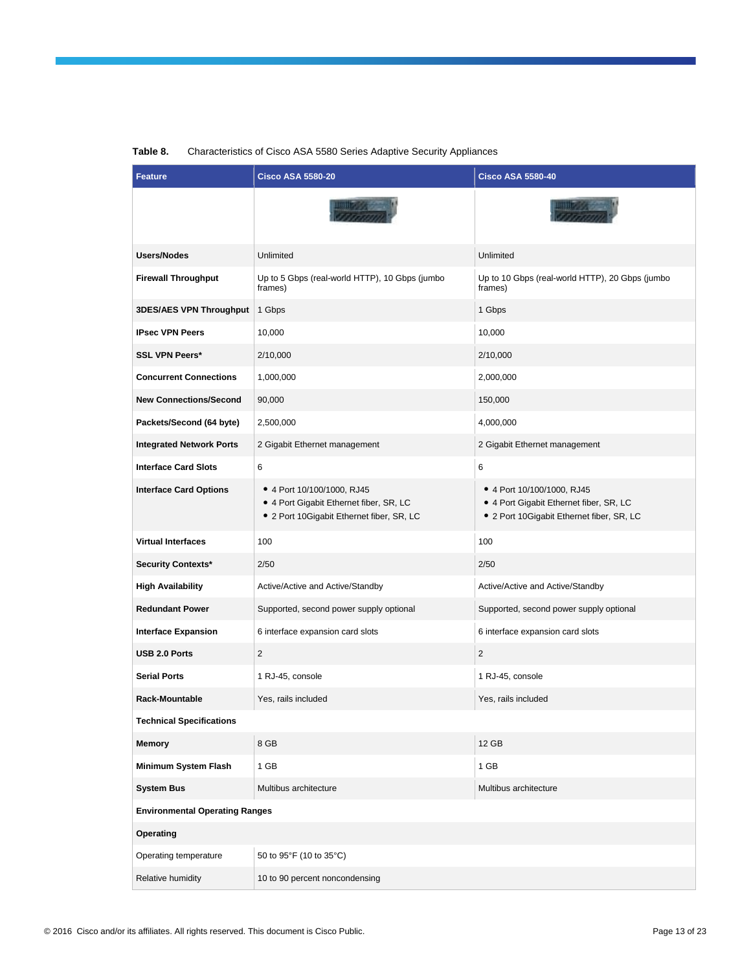| <b>Feature</b>                        | <b>Cisco ASA 5580-20</b>                                                                                           | <b>Cisco ASA 5580-40</b>                                                                                           |
|---------------------------------------|--------------------------------------------------------------------------------------------------------------------|--------------------------------------------------------------------------------------------------------------------|
|                                       |                                                                                                                    |                                                                                                                    |
| <b>Users/Nodes</b>                    | Unlimited                                                                                                          | Unlimited                                                                                                          |
| <b>Firewall Throughput</b>            | Up to 5 Gbps (real-world HTTP), 10 Gbps (jumbo<br>frames)                                                          | Up to 10 Gbps (real-world HTTP), 20 Gbps (jumbo<br>frames)                                                         |
| <b>3DES/AES VPN Throughput</b>        | 1 Gbps                                                                                                             | 1 Gbps                                                                                                             |
| <b>IPsec VPN Peers</b>                | 10,000                                                                                                             | 10,000                                                                                                             |
| <b>SSL VPN Peers*</b>                 | 2/10,000                                                                                                           | 2/10,000                                                                                                           |
| <b>Concurrent Connections</b>         | 1,000,000                                                                                                          | 2,000,000                                                                                                          |
| <b>New Connections/Second</b>         | 90,000                                                                                                             | 150,000                                                                                                            |
| Packets/Second (64 byte)              | 2,500,000                                                                                                          | 4,000,000                                                                                                          |
| <b>Integrated Network Ports</b>       | 2 Gigabit Ethernet management                                                                                      | 2 Gigabit Ethernet management                                                                                      |
| <b>Interface Card Slots</b>           | 6                                                                                                                  | 6                                                                                                                  |
| <b>Interface Card Options</b>         | • 4 Port 10/100/1000, RJ45<br>• 4 Port Gigabit Ethernet fiber, SR, LC<br>• 2 Port 10Gigabit Ethernet fiber, SR, LC | • 4 Port 10/100/1000, RJ45<br>• 4 Port Gigabit Ethernet fiber, SR, LC<br>• 2 Port 10Gigabit Ethernet fiber, SR, LC |
| <b>Virtual Interfaces</b>             | 100                                                                                                                | 100                                                                                                                |
| <b>Security Contexts*</b>             | 2/50                                                                                                               | 2/50                                                                                                               |
| <b>High Availability</b>              | Active/Active and Active/Standby                                                                                   | Active/Active and Active/Standby                                                                                   |
| <b>Redundant Power</b>                | Supported, second power supply optional                                                                            | Supported, second power supply optional                                                                            |
| <b>Interface Expansion</b>            | 6 interface expansion card slots                                                                                   | 6 interface expansion card slots                                                                                   |
| <b>USB 2.0 Ports</b>                  | $\overline{2}$                                                                                                     | 2                                                                                                                  |
| <b>Serial Ports</b>                   | 1 RJ-45, console                                                                                                   | 1 RJ-45, console                                                                                                   |
| Rack-Mountable                        | Yes, rails included                                                                                                | Yes, rails included                                                                                                |
| <b>Technical Specifications</b>       |                                                                                                                    |                                                                                                                    |
| Memory                                | 8 GB                                                                                                               | 12 GB                                                                                                              |
| <b>Minimum System Flash</b>           | 1 GB                                                                                                               | 1 GB                                                                                                               |
| <b>System Bus</b>                     | Multibus architecture                                                                                              | Multibus architecture                                                                                              |
| <b>Environmental Operating Ranges</b> |                                                                                                                    |                                                                                                                    |
| Operating                             |                                                                                                                    |                                                                                                                    |
| Operating temperature                 | 50 to 95°F (10 to 35°C)                                                                                            |                                                                                                                    |
| Relative humidity                     | 10 to 90 percent noncondensing                                                                                     |                                                                                                                    |

#### **Table 8.** Characteristics of Cisco ASA 5580 Series Adaptive Security Appliances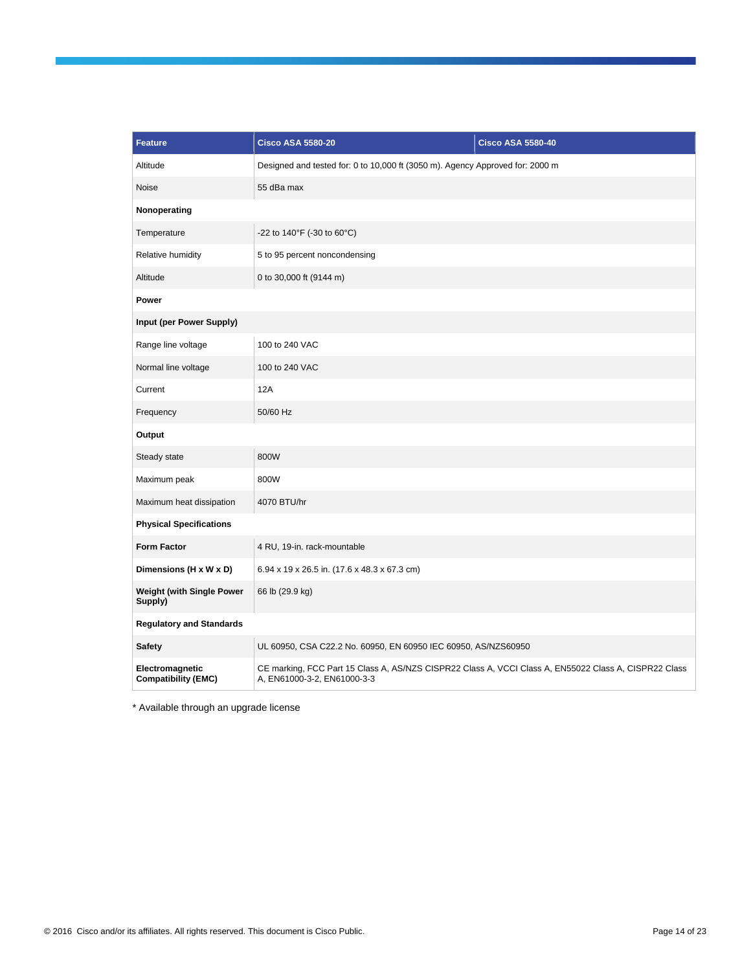| <b>Feature</b>                                | <b>Cisco ASA 5580-20</b>                                                                                                             | <b>Cisco ASA 5580-40</b> |
|-----------------------------------------------|--------------------------------------------------------------------------------------------------------------------------------------|--------------------------|
| Altitude                                      | Designed and tested for: 0 to 10,000 ft (3050 m). Agency Approved for: 2000 m                                                        |                          |
| <b>Noise</b>                                  | 55 dBa max                                                                                                                           |                          |
| Nonoperating                                  |                                                                                                                                      |                          |
| Temperature                                   | -22 to 140°F (-30 to 60°C)                                                                                                           |                          |
| Relative humidity                             | 5 to 95 percent noncondensing                                                                                                        |                          |
| Altitude                                      | 0 to 30,000 ft (9144 m)                                                                                                              |                          |
| Power                                         |                                                                                                                                      |                          |
| Input (per Power Supply)                      |                                                                                                                                      |                          |
| Range line voltage                            | 100 to 240 VAC                                                                                                                       |                          |
| Normal line voltage                           | 100 to 240 VAC                                                                                                                       |                          |
| Current                                       | 12A                                                                                                                                  |                          |
| Frequency                                     | 50/60 Hz                                                                                                                             |                          |
| Output                                        |                                                                                                                                      |                          |
| Steady state                                  | 800W                                                                                                                                 |                          |
| Maximum peak                                  | 800W                                                                                                                                 |                          |
| Maximum heat dissipation                      | 4070 BTU/hr                                                                                                                          |                          |
| <b>Physical Specifications</b>                |                                                                                                                                      |                          |
| <b>Form Factor</b>                            | 4 RU, 19-in. rack-mountable                                                                                                          |                          |
| Dimensions (H x W x D)                        | 6.94 x 19 x 26.5 in. (17.6 x 48.3 x 67.3 cm)                                                                                         |                          |
| <b>Weight (with Single Power</b><br>Supply)   | 66 lb (29.9 kg)                                                                                                                      |                          |
| <b>Regulatory and Standards</b>               |                                                                                                                                      |                          |
| <b>Safety</b>                                 | UL 60950, CSA C22.2 No. 60950, EN 60950 IEC 60950, AS/NZS60950                                                                       |                          |
| Electromagnetic<br><b>Compatibility (EMC)</b> | CE marking, FCC Part 15 Class A, AS/NZS CISPR22 Class A, VCCI Class A, EN55022 Class A, CISPR22 Class<br>A, EN61000-3-2, EN61000-3-3 |                          |

\* Available through an upgrade license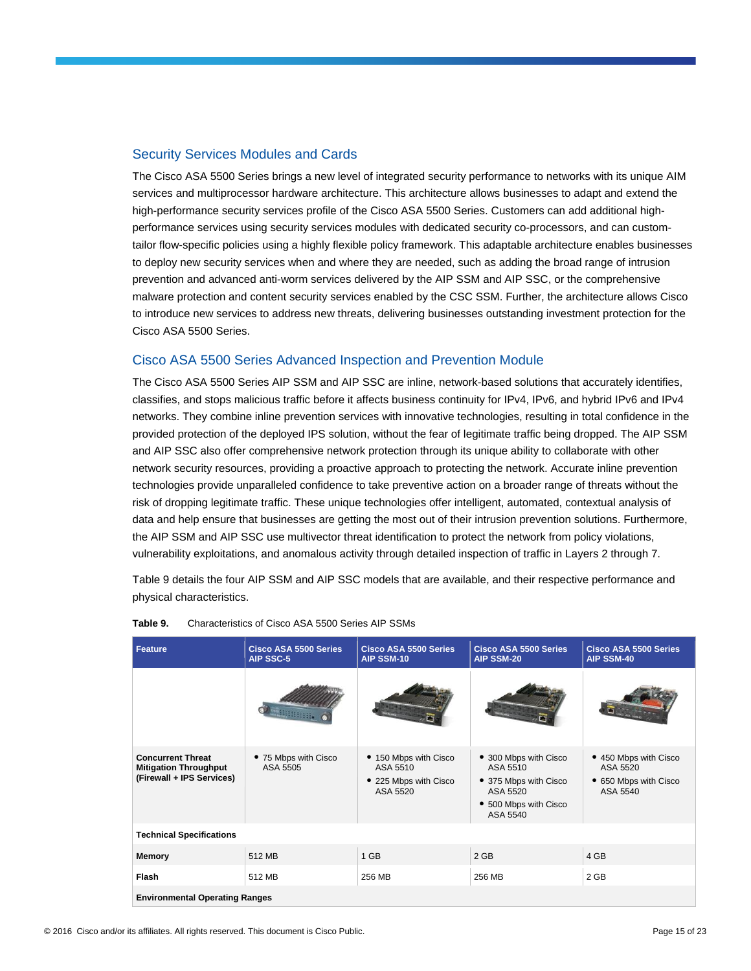#### Security Services Modules and Cards

The Cisco ASA 5500 Series brings a new level of integrated security performance to networks with its unique AIM services and multiprocessor hardware architecture. This architecture allows businesses to adapt and extend the high-performance security services profile of the Cisco ASA 5500 Series. Customers can add additional highperformance services using security services modules with dedicated security co-processors, and can customtailor flow-specific policies using a highly flexible policy framework. This adaptable architecture enables businesses to deploy new security services when and where they are needed, such as adding the broad range of intrusion prevention and advanced anti-worm services delivered by the AIP SSM and AIP SSC, or the comprehensive malware protection and content security services enabled by the CSC SSM. Further, the architecture allows Cisco to introduce new services to address new threats, delivering businesses outstanding investment protection for the Cisco ASA 5500 Series.

#### Cisco ASA 5500 Series Advanced Inspection and Prevention Module

The Cisco ASA 5500 Series AIP SSM and AIP SSC are inline, network-based solutions that accurately identifies, classifies, and stops malicious traffic before it affects business continuity for IPv4, IPv6, and hybrid IPv6 and IPv4 networks. They combine inline prevention services with innovative technologies, resulting in total confidence in the provided protection of the deployed IPS solution, without the fear of legitimate traffic being dropped. The AIP SSM and AIP SSC also offer comprehensive network protection through its unique ability to collaborate with other network security resources, providing a proactive approach to protecting the network. Accurate inline prevention technologies provide unparalleled confidence to take preventive action on a broader range of threats without the risk of dropping legitimate traffic. These unique technologies offer intelligent, automated, contextual analysis of data and help ensure that businesses are getting the most out of their intrusion prevention solutions. Furthermore, the AIP SSM and AIP SSC use multivector threat identification to protect the network from policy violations, vulnerability exploitations, and anomalous activity through detailed inspection of traffic in Layers 2 through 7.

Table 9 details the four AIP SSM and AIP SSC models that are available, and their respective performance and physical characteristics.

| <b>Feature</b>                                                                        | <b>Cisco ASA 5500 Series</b><br>AIP SSC-5 | Cisco ASA 5500 Series<br>AIP SSM-10                                    | Cisco ASA 5500 Series<br><b>AIP SSM-20</b>                                                                  | <b>Cisco ASA 5500 Series</b><br>AIP SSM-40                             |  |  |
|---------------------------------------------------------------------------------------|-------------------------------------------|------------------------------------------------------------------------|-------------------------------------------------------------------------------------------------------------|------------------------------------------------------------------------|--|--|
|                                                                                       |                                           |                                                                        |                                                                                                             |                                                                        |  |  |
| <b>Concurrent Threat</b><br><b>Mitigation Throughput</b><br>(Firewall + IPS Services) | • 75 Mbps with Cisco<br>ASA 5505          | • 150 Mbps with Cisco<br>ASA 5510<br>• 225 Mbps with Cisco<br>ASA 5520 | • 300 Mbps with Cisco<br>ASA 5510<br>• 375 Mbps with Cisco<br>ASA 5520<br>• 500 Mbps with Cisco<br>ASA 5540 | • 450 Mbps with Cisco<br>ASA 5520<br>• 650 Mbps with Cisco<br>ASA 5540 |  |  |
| <b>Technical Specifications</b>                                                       |                                           |                                                                        |                                                                                                             |                                                                        |  |  |
| Memory                                                                                | 512 MB                                    | 1 GB                                                                   | $2$ GB                                                                                                      | 4 GB                                                                   |  |  |
| Flash                                                                                 | 512 MB                                    | 256 MB                                                                 | 256 MB                                                                                                      | 2 GB                                                                   |  |  |
| <b>Environmental Operating Ranges</b>                                                 |                                           |                                                                        |                                                                                                             |                                                                        |  |  |

**Table 9.** Characteristics of Cisco ASA 5500 Series AIP SSMs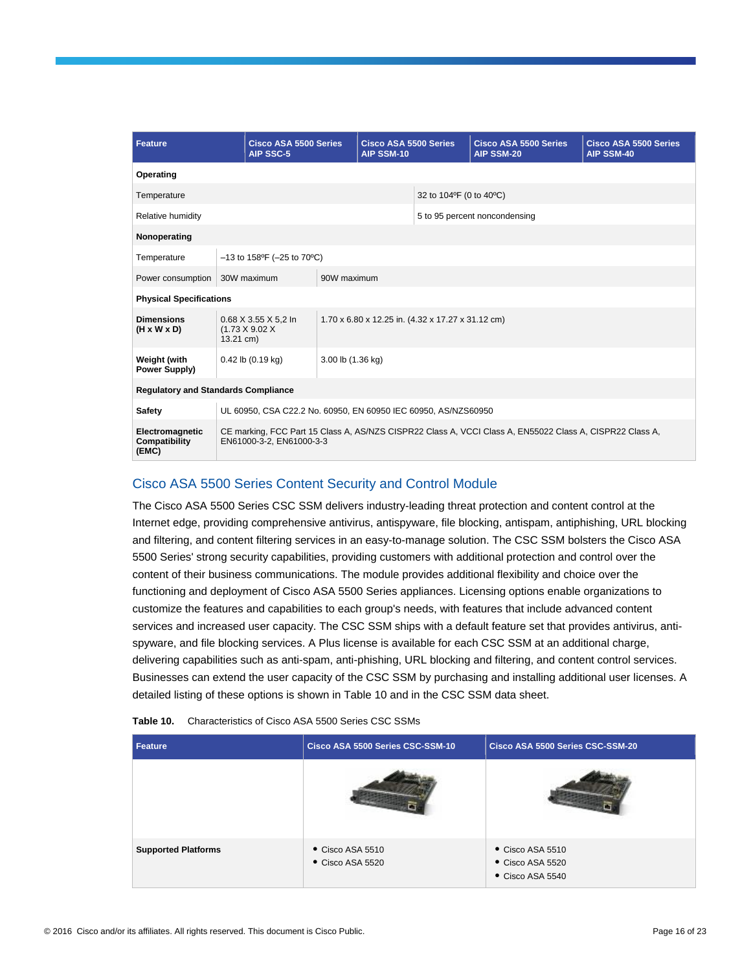| <b>Feature</b>                               |                                                                                                                        | <b>Cisco ASA 5500 Series</b><br>AIP SSC-5 | <b>Cisco ASA 5500 Series</b><br>AIP SSM-10 |  |                               | <b>Cisco ASA 5500 Series</b><br><b>AIP SSM-20</b>                                                        | <b>Cisco ASA 5500 Series</b><br>AIP SSM-40 |  |
|----------------------------------------------|------------------------------------------------------------------------------------------------------------------------|-------------------------------------------|--------------------------------------------|--|-------------------------------|----------------------------------------------------------------------------------------------------------|--------------------------------------------|--|
| Operating                                    |                                                                                                                        |                                           |                                            |  |                               |                                                                                                          |                                            |  |
| Temperature                                  |                                                                                                                        |                                           |                                            |  | 32 to 104°F (0 to 40°C)       |                                                                                                          |                                            |  |
| <b>Relative humidity</b>                     |                                                                                                                        |                                           |                                            |  | 5 to 95 percent noncondensing |                                                                                                          |                                            |  |
| Nonoperating                                 |                                                                                                                        |                                           |                                            |  |                               |                                                                                                          |                                            |  |
| Temperature                                  |                                                                                                                        | $-13$ to 158°F (-25 to 70°C)              |                                            |  |                               |                                                                                                          |                                            |  |
| Power consumption                            |                                                                                                                        | 30W maximum                               | 90W maximum                                |  |                               |                                                                                                          |                                            |  |
| <b>Physical Specifications</b>               |                                                                                                                        |                                           |                                            |  |                               |                                                                                                          |                                            |  |
| <b>Dimensions</b><br>$(H \times W \times D)$ | 0.68 X 3.55 X 5.2 In<br>1.70 x 6.80 x 12.25 in. (4.32 x 17.27 x 31.12 cm)<br>$(1.73 \times 9.02 \times$<br>$13.21$ cm) |                                           |                                            |  |                               |                                                                                                          |                                            |  |
| Weight (with<br>Power Supply)                |                                                                                                                        | $0.42$ lb $(0.19$ kg)                     | 3.00 lb (1.36 kg)                          |  |                               |                                                                                                          |                                            |  |
| <b>Regulatory and Standards Compliance</b>   |                                                                                                                        |                                           |                                            |  |                               |                                                                                                          |                                            |  |
| Safety                                       | UL 60950, CSA C22.2 No. 60950, EN 60950 IEC 60950, AS/NZS60950                                                         |                                           |                                            |  |                               |                                                                                                          |                                            |  |
| Electromagnetic<br>Compatibility<br>(EMC)    |                                                                                                                        | EN61000-3-2. EN61000-3-3                  |                                            |  |                               | CE marking, FCC Part 15 Class A, AS/NZS CISPR22 Class A, VCCI Class A, EN55022 Class A, CISPR22 Class A, |                                            |  |

### Cisco ASA 5500 Series Content Security and Control Module

The Cisco ASA 5500 Series CSC SSM delivers industry-leading threat protection and content control at the Internet edge, providing comprehensive antivirus, antispyware, file blocking, antispam, antiphishing, URL blocking and filtering, and content filtering services in an easy-to-manage solution. The CSC SSM bolsters the Cisco ASA 5500 Series' strong security capabilities, providing customers with additional protection and control over the content of their business communications. The module provides additional flexibility and choice over the functioning and deployment of Cisco ASA 5500 Series appliances. Licensing options enable organizations to customize the features and capabilities to each group's needs, with features that include advanced content services and increased user capacity. The CSC SSM ships with a default feature set that provides antivirus, antispyware, and file blocking services. A Plus license is available for each CSC SSM at an additional charge, delivering capabilities such as anti-spam, anti-phishing, URL blocking and filtering, and content control services. Businesses can extend the user capacity of the CSC SSM by purchasing and installing additional user licenses. A detailed listing of these options is shown in Table 10 and in the CSC SSM data sheet.

| Feature                    | Cisco ASA 5500 Series CSC-SSM-10   | Cisco ASA 5500 Series CSC-SSM-20                       |
|----------------------------|------------------------------------|--------------------------------------------------------|
|                            |                                    |                                                        |
| <b>Supported Platforms</b> | • Cisco ASA 5510<br>Cisco ASA 5520 | • Cisco ASA 5510<br>Cisco ASA 5520<br>• Cisco ASA 5540 |

**Table 10.** Characteristics of Cisco ASA 5500 Series CSC SSMs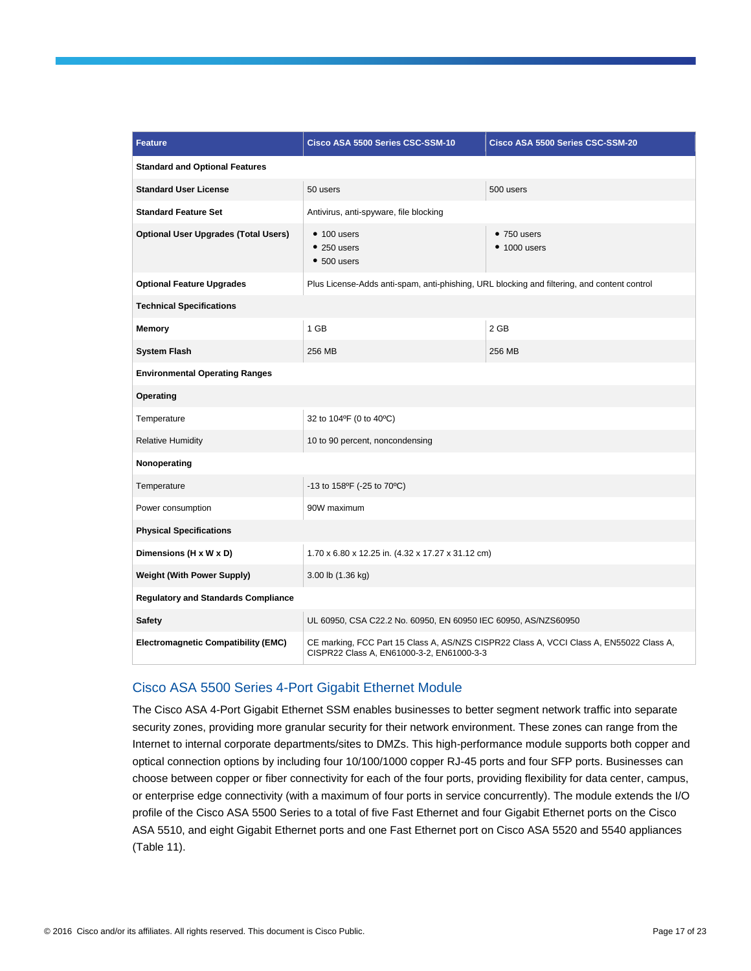| <b>Feature</b>                              | Cisco ASA 5500 Series CSC-SSM-10                                                                                                     | Cisco ASA 5500 Series CSC-SSM-20 |  |  |
|---------------------------------------------|--------------------------------------------------------------------------------------------------------------------------------------|----------------------------------|--|--|
| <b>Standard and Optional Features</b>       |                                                                                                                                      |                                  |  |  |
| <b>Standard User License</b>                | 50 users                                                                                                                             | 500 users                        |  |  |
| <b>Standard Feature Set</b>                 | Antivirus, anti-spyware, file blocking                                                                                               |                                  |  |  |
| <b>Optional User Upgrades (Total Users)</b> | $• 100$ users<br>$• 250$ users<br>$• 500$ users                                                                                      | $•750$ users<br>$• 1000$ users   |  |  |
| <b>Optional Feature Upgrades</b>            | Plus License-Adds anti-spam, anti-phishing, URL blocking and filtering, and content control                                          |                                  |  |  |
| <b>Technical Specifications</b>             |                                                                                                                                      |                                  |  |  |
| Memory                                      | 1 GB                                                                                                                                 | 2 GB                             |  |  |
| <b>System Flash</b>                         | 256 MB                                                                                                                               | 256 MB                           |  |  |
| <b>Environmental Operating Ranges</b>       |                                                                                                                                      |                                  |  |  |
| Operating                                   |                                                                                                                                      |                                  |  |  |
| Temperature                                 | 32 to 104°F (0 to 40°C)                                                                                                              |                                  |  |  |
| <b>Relative Humidity</b>                    | 10 to 90 percent, noncondensing                                                                                                      |                                  |  |  |
| Nonoperating                                |                                                                                                                                      |                                  |  |  |
| Temperature                                 | -13 to 158°F (-25 to 70°C)                                                                                                           |                                  |  |  |
| Power consumption                           | 90W maximum                                                                                                                          |                                  |  |  |
| <b>Physical Specifications</b>              |                                                                                                                                      |                                  |  |  |
| Dimensions (H x W x D)                      | 1.70 x 6.80 x 12.25 in. (4.32 x 17.27 x 31.12 cm)                                                                                    |                                  |  |  |
| <b>Weight (With Power Supply)</b>           | 3.00 lb (1.36 kg)                                                                                                                    |                                  |  |  |
| <b>Regulatory and Standards Compliance</b>  |                                                                                                                                      |                                  |  |  |
| <b>Safety</b>                               | UL 60950, CSA C22.2 No. 60950, EN 60950 IEC 60950, AS/NZS60950                                                                       |                                  |  |  |
| <b>Electromagnetic Compatibility (EMC)</b>  | CE marking, FCC Part 15 Class A, AS/NZS CISPR22 Class A, VCCI Class A, EN55022 Class A,<br>CISPR22 Class A, EN61000-3-2, EN61000-3-3 |                                  |  |  |

#### Cisco ASA 5500 Series 4-Port Gigabit Ethernet Module

The Cisco ASA 4-Port Gigabit Ethernet SSM enables businesses to better segment network traffic into separate security zones, providing more granular security for their network environment. These zones can range from the Internet to internal corporate departments/sites to DMZs. This high-performance module supports both copper and optical connection options by including four 10/100/1000 copper RJ-45 ports and four SFP ports. Businesses can choose between copper or fiber connectivity for each of the four ports, providing flexibility for data center, campus, or enterprise edge connectivity (with a maximum of four ports in service concurrently). The module extends the I/O profile of the Cisco ASA 5500 Series to a total of five Fast Ethernet and four Gigabit Ethernet ports on the Cisco ASA 5510, and eight Gigabit Ethernet ports and one Fast Ethernet port on Cisco ASA 5520 and 5540 appliances (Table 11).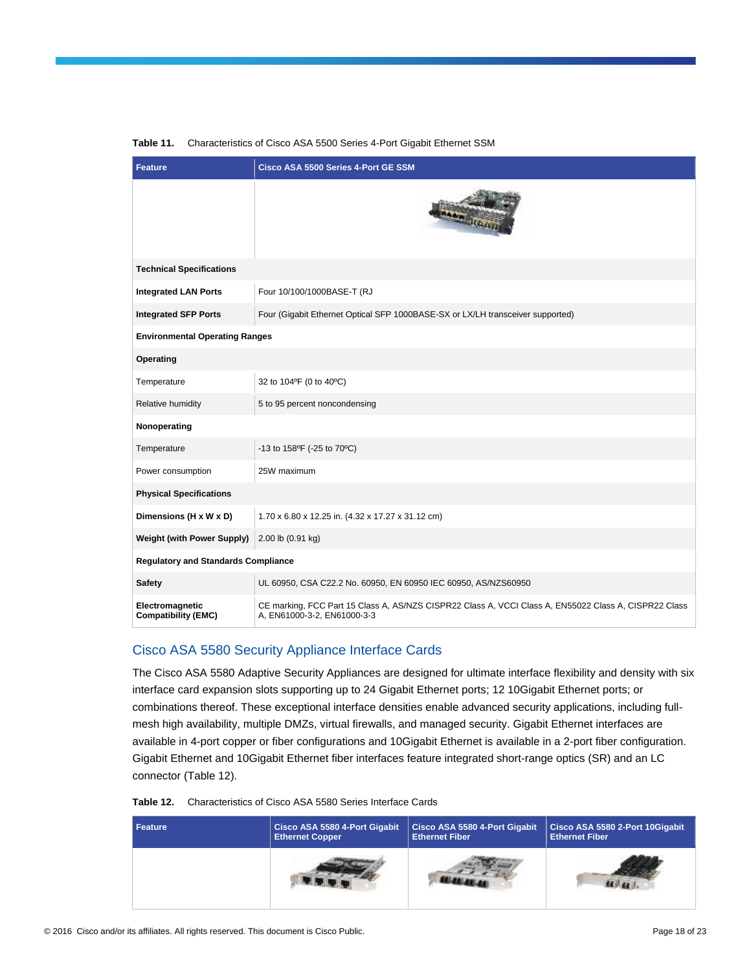| <b>Feature</b>                                | <b>Cisco ASA 5500 Series 4-Port GE SSM</b>                                                                                           |
|-----------------------------------------------|--------------------------------------------------------------------------------------------------------------------------------------|
|                                               | <b>GAN JEGHT</b>                                                                                                                     |
| <b>Technical Specifications</b>               |                                                                                                                                      |
| <b>Integrated LAN Ports</b>                   | Four 10/100/1000BASE-T (RJ                                                                                                           |
| <b>Integrated SFP Ports</b>                   | Four (Gigabit Ethernet Optical SFP 1000BASE-SX or LX/LH transceiver supported)                                                       |
| <b>Environmental Operating Ranges</b>         |                                                                                                                                      |
| Operating                                     |                                                                                                                                      |
| Temperature                                   | 32 to 104°F (0 to 40°C)                                                                                                              |
| Relative humidity                             | 5 to 95 percent noncondensing                                                                                                        |
| Nonoperating                                  |                                                                                                                                      |
| Temperature                                   | -13 to 158°F (-25 to 70°C)                                                                                                           |
| Power consumption                             | 25W maximum                                                                                                                          |
| <b>Physical Specifications</b>                |                                                                                                                                      |
| Dimensions (H x W x D)                        | 1.70 x 6.80 x 12.25 in. (4.32 x 17.27 x 31.12 cm)                                                                                    |
| <b>Weight (with Power Supply)</b>             | 2.00 lb (0.91 kg)                                                                                                                    |
| <b>Regulatory and Standards Compliance</b>    |                                                                                                                                      |
| <b>Safety</b>                                 | UL 60950, CSA C22.2 No. 60950, EN 60950 IEC 60950, AS/NZS60950                                                                       |
| Electromagnetic<br><b>Compatibility (EMC)</b> | CE marking, FCC Part 15 Class A, AS/NZS CISPR22 Class A, VCCI Class A, EN55022 Class A, CISPR22 Class<br>A, EN61000-3-2, EN61000-3-3 |

#### **Table 11.** Characteristics of Cisco ASA 5500 Series 4-Port Gigabit Ethernet SSM

#### Cisco ASA 5580 Security Appliance Interface Cards

The Cisco ASA 5580 Adaptive Security Appliances are designed for ultimate interface flexibility and density with six interface card expansion slots supporting up to 24 Gigabit Ethernet ports; 12 10Gigabit Ethernet ports; or combinations thereof. These exceptional interface densities enable advanced security applications, including fullmesh high availability, multiple DMZs, virtual firewalls, and managed security. Gigabit Ethernet interfaces are available in 4-port copper or fiber configurations and 10Gigabit Ethernet is available in a 2-port fiber configuration. Gigabit Ethernet and 10Gigabit Ethernet fiber interfaces feature integrated short-range optics (SR) and an LC connector (Table 12).

| <b>Feature</b> | Cisco ASA 5580 4-Port Gigabit | Cisco ASA 5580 4-Port Gigabit | Cisco ASA 5580 2-Port 10Gigabit |
|----------------|-------------------------------|-------------------------------|---------------------------------|
|                | <b>Ethernet Copper</b>        | <b>Ethernet Fiber</b>         | <b>Ethernet Fiber</b>           |
|                |                               |                               |                                 |

**Table 12.** Characteristics of Cisco ASA 5580 Series Interface Cards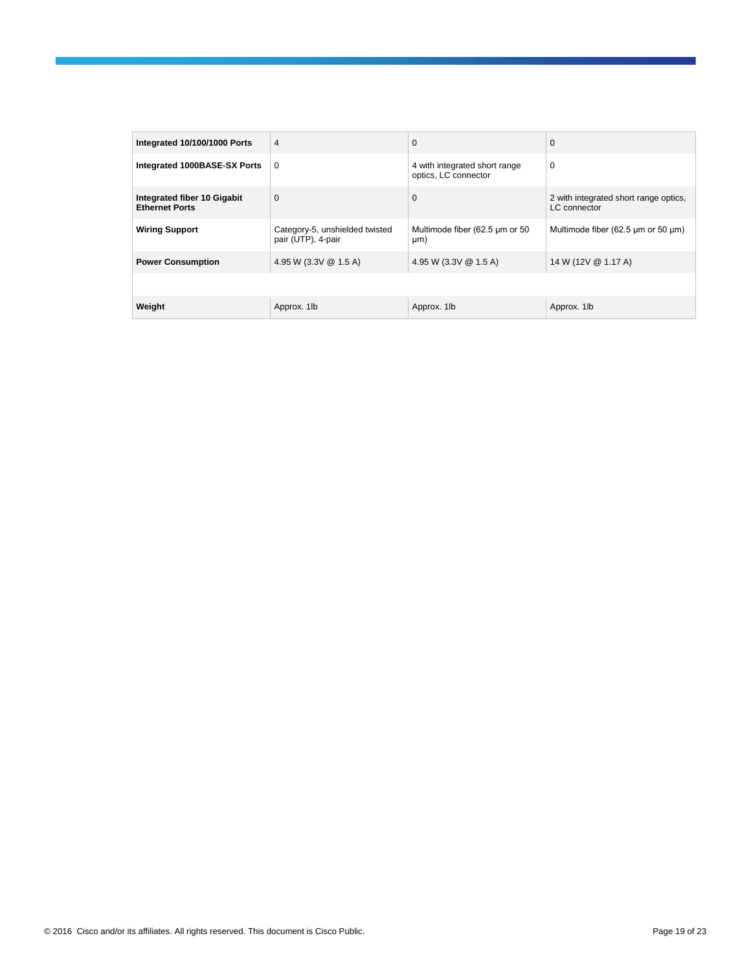| Integrated 10/100/1000 Ports                         | 4                                                    | 0                                                     | $\mathbf 0$                                           |
|------------------------------------------------------|------------------------------------------------------|-------------------------------------------------------|-------------------------------------------------------|
| Integrated 1000BASE-SX Ports                         | $\mathbf 0$                                          | 4 with integrated short range<br>optics, LC connector | $\mathbf 0$                                           |
| Integrated fiber 10 Gigabit<br><b>Ethernet Ports</b> | $\mathbf 0$                                          | $\Omega$                                              | 2 with integrated short range optics,<br>LC connector |
| <b>Wiring Support</b>                                | Category-5, unshielded twisted<br>pair (UTP), 4-pair | Multimode fiber (62.5 µm or 50<br>µm)                 | Multimode fiber (62.5 µm or 50 µm)                    |
| <b>Power Consumption</b>                             | 4.95 W (3.3V @ 1.5 A)                                | 4.95 W (3.3V @ 1.5 A)                                 | 14 W (12V @ 1.17 A)                                   |
|                                                      |                                                      |                                                       |                                                       |
| Weight                                               | Approx. 1lb                                          | Approx. 1lb                                           | Approx. 1lb                                           |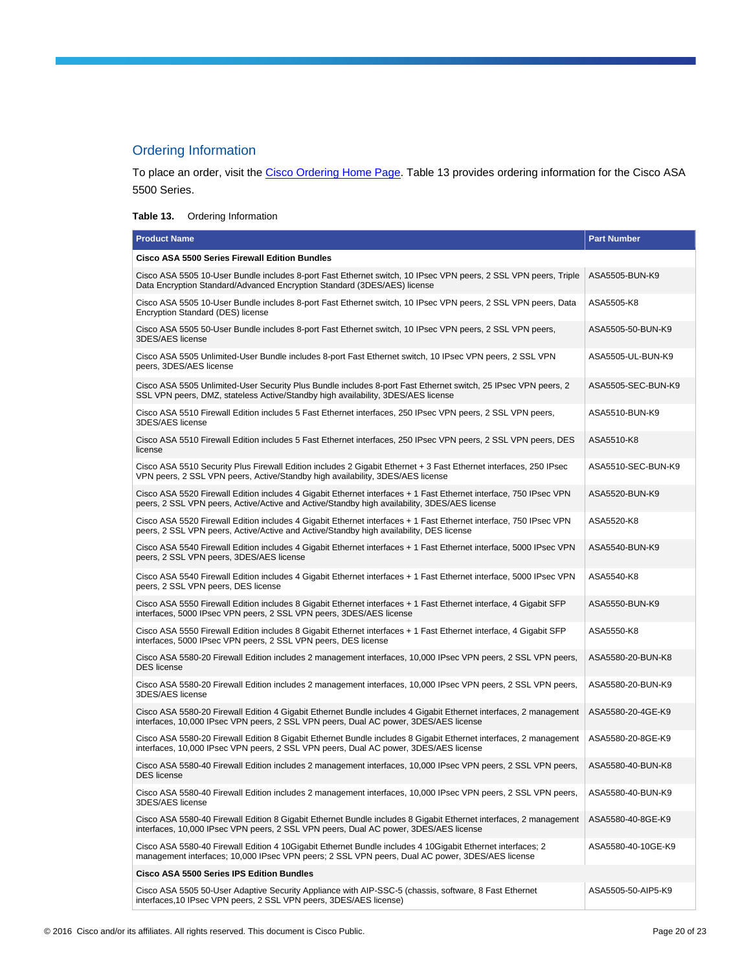# Ordering Information

To place an order, visit th[e Cisco Ordering Home Page.](https://www.cisco.com/en/US/ordering/or13/or8/order_customer_help_how_to_order_listing.html) Table 13 provides ordering information for the Cisco ASA 5500 Series.

#### **Table 13.** Ordering Information

| <b>Product Name</b>                                                                                                                                                                                               | <b>Part Number</b> |
|-------------------------------------------------------------------------------------------------------------------------------------------------------------------------------------------------------------------|--------------------|
| <b>Cisco ASA 5500 Series Firewall Edition Bundles</b>                                                                                                                                                             |                    |
| Cisco ASA 5505 10-User Bundle includes 8-port Fast Ethernet switch, 10 IPsec VPN peers, 2 SSL VPN peers, Triple<br>Data Encryption Standard/Advanced Encryption Standard (3DES/AES) license                       | ASA5505-BUN-K9     |
| Cisco ASA 5505 10-User Bundle includes 8-port Fast Ethernet switch, 10 IPsec VPN peers, 2 SSL VPN peers, Data<br>Encryption Standard (DES) license                                                                | ASA5505-K8         |
| Cisco ASA 5505 50-User Bundle includes 8-port Fast Ethernet switch, 10 IPsec VPN peers, 2 SSL VPN peers,<br>3DES/AES license                                                                                      | ASA5505-50-BUN-K9  |
| Cisco ASA 5505 Unlimited-User Bundle includes 8-port Fast Ethernet switch, 10 IPsec VPN peers, 2 SSL VPN<br>peers, 3DES/AES license                                                                               | ASA5505-UL-BUN-K9  |
| Cisco ASA 5505 Unlimited-User Security Plus Bundle includes 8-port Fast Ethernet switch, 25 IPsec VPN peers, 2<br>SSL VPN peers, DMZ, stateless Active/Standby high availability, 3DES/AES license                | ASA5505-SEC-BUN-K9 |
| Cisco ASA 5510 Firewall Edition includes 5 Fast Ethernet interfaces, 250 IPsec VPN peers, 2 SSL VPN peers,<br>3DES/AES license                                                                                    | ASA5510-BUN-K9     |
| Cisco ASA 5510 Firewall Edition includes 5 Fast Ethernet interfaces, 250 IPsec VPN peers, 2 SSL VPN peers, DES<br>license                                                                                         | ASA5510-K8         |
| Cisco ASA 5510 Security Plus Firewall Edition includes 2 Gigabit Ethernet + 3 Fast Ethernet interfaces, 250 IPsec<br>VPN peers, 2 SSL VPN peers, Active/Standby high availability, 3DES/AES license               | ASA5510-SEC-BUN-K9 |
| Cisco ASA 5520 Firewall Edition includes 4 Gigabit Ethernet interfaces + 1 Fast Ethernet interface, 750 IPsec VPN<br>peers, 2 SSL VPN peers, Active/Active and Active/Standby high availability, 3DES/AES license | ASA5520-BUN-K9     |
| Cisco ASA 5520 Firewall Edition includes 4 Gigabit Ethernet interfaces + 1 Fast Ethernet interface, 750 IPsec VPN<br>peers, 2 SSL VPN peers, Active/Active and Active/Standby high availability, DES license      | ASA5520-K8         |
| Cisco ASA 5540 Firewall Edition includes 4 Gigabit Ethernet interfaces + 1 Fast Ethernet interface, 5000 IPsec VPN<br>peers, 2 SSL VPN peers, 3DES/AES license                                                    | ASA5540-BUN-K9     |
| Cisco ASA 5540 Firewall Edition includes 4 Gigabit Ethernet interfaces + 1 Fast Ethernet interface, 5000 IPsec VPN<br>peers, 2 SSL VPN peers, DES license                                                         | ASA5540-K8         |
| Cisco ASA 5550 Firewall Edition includes 8 Gigabit Ethernet interfaces + 1 Fast Ethernet interface, 4 Gigabit SFP<br>interfaces, 5000 IPsec VPN peers, 2 SSL VPN peers, 3DES/AES license                          | ASA5550-BUN-K9     |
| Cisco ASA 5550 Firewall Edition includes 8 Gigabit Ethernet interfaces + 1 Fast Ethernet interface, 4 Gigabit SFP<br>interfaces, 5000 IPsec VPN peers, 2 SSL VPN peers, DES license                               | ASA5550-K8         |
| Cisco ASA 5580-20 Firewall Edition includes 2 management interfaces, 10,000 IPsec VPN peers, 2 SSL VPN peers,<br><b>DES</b> license                                                                               | ASA5580-20-BUN-K8  |
| Cisco ASA 5580-20 Firewall Edition includes 2 management interfaces, 10,000 IPsec VPN peers, 2 SSL VPN peers,<br>3DES/AES license                                                                                 | ASA5580-20-BUN-K9  |
| Cisco ASA 5580-20 Firewall Edition 4 Gigabit Ethernet Bundle includes 4 Gigabit Ethernet interfaces, 2 management<br>interfaces, 10,000 IPsec VPN peers, 2 SSL VPN peers, Dual AC power, 3DES/AES license         | ASA5580-20-4GE-K9  |
| Cisco ASA 5580-20 Firewall Edition 8 Gigabit Ethernet Bundle includes 8 Gigabit Ethernet interfaces, 2 management<br>interfaces, 10,000 IPsec VPN peers, 2 SSL VPN peers, Dual AC power, 3DES/AES license         | ASA5580-20-8GE-K9  |
| Cisco ASA 5580-40 Firewall Edition includes 2 management interfaces, 10,000 IPsec VPN peers, 2 SSL VPN peers,<br>DES license                                                                                      | ASA5580-40-BUN-K8  |
| Cisco ASA 5580-40 Firewall Edition includes 2 management interfaces, 10,000 IPsec VPN peers, 2 SSL VPN peers,<br>3DES/AES license                                                                                 | ASA5580-40-BUN-K9  |
| Cisco ASA 5580-40 Firewall Edition 8 Gigabit Ethernet Bundle includes 8 Gigabit Ethernet interfaces, 2 management<br>interfaces, 10,000 IPsec VPN peers, 2 SSL VPN peers, Dual AC power, 3DES/AES license         | ASA5580-40-8GE-K9  |
| Cisco ASA 5580-40 Firewall Edition 4 10Gigabit Ethernet Bundle includes 4 10Gigabit Ethernet interfaces; 2<br>management interfaces; 10,000 IPsec VPN peers; 2 SSL VPN peers, Dual AC power, 3DES/AES license     | ASA5580-40-10GE-K9 |
| Cisco ASA 5500 Series IPS Edition Bundles                                                                                                                                                                         |                    |
| Cisco ASA 5505 50-User Adaptive Security Appliance with AIP-SSC-5 (chassis, software, 8 Fast Ethernet<br>interfaces, 10 IPsec VPN peers, 2 SSL VPN peers, 3DES/AES license)                                       | ASA5505-50-AIP5-K9 |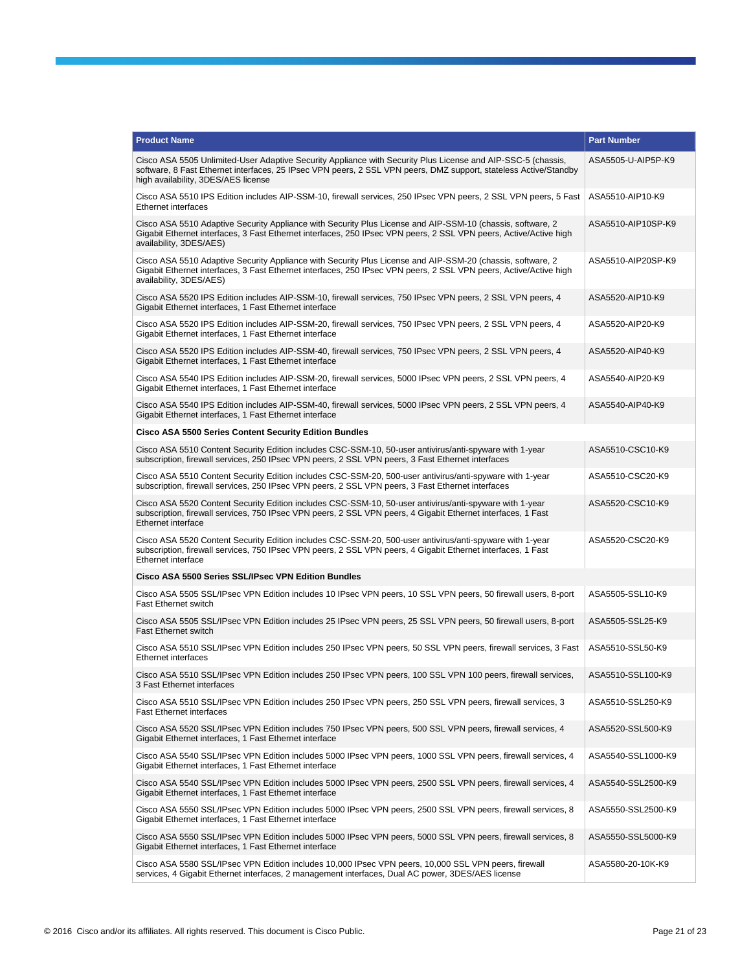| <b>Product Name</b>                                                                                                                                                                                                                                                     | <b>Part Number</b> |  |
|-------------------------------------------------------------------------------------------------------------------------------------------------------------------------------------------------------------------------------------------------------------------------|--------------------|--|
| Cisco ASA 5505 Unlimited-User Adaptive Security Appliance with Security Plus License and AIP-SSC-5 (chassis,<br>software, 8 Fast Ethernet interfaces, 25 IPsec VPN peers, 2 SSL VPN peers, DMZ support, stateless Active/Standby<br>high availability, 3DES/AES license | ASA5505-U-AIP5P-K9 |  |
| Cisco ASA 5510 IPS Edition includes AIP-SSM-10, firewall services, 250 IPsec VPN peers, 2 SSL VPN peers, 5 Fast<br><b>Ethernet interfaces</b>                                                                                                                           | ASA5510-AIP10-K9   |  |
| Cisco ASA 5510 Adaptive Security Appliance with Security Plus License and AIP-SSM-10 (chassis, software, 2)<br>Gigabit Ethernet interfaces, 3 Fast Ethernet interfaces, 250 IPsec VPN peers, 2 SSL VPN peers, Active/Active high<br>availability, 3DES/AES)             | ASA5510-AIP10SP-K9 |  |
| Cisco ASA 5510 Adaptive Security Appliance with Security Plus License and AIP-SSM-20 (chassis, software, 2)<br>Gigabit Ethernet interfaces, 3 Fast Ethernet interfaces, 250 IPsec VPN peers, 2 SSL VPN peers, Active/Active high<br>availability, 3DES/AES)             | ASA5510-AIP20SP-K9 |  |
| Cisco ASA 5520 IPS Edition includes AIP-SSM-10, firewall services, 750 IPsec VPN peers, 2 SSL VPN peers, 4<br>Gigabit Ethernet interfaces. 1 Fast Ethernet interface                                                                                                    | ASA5520-AIP10-K9   |  |
| Cisco ASA 5520 IPS Edition includes AIP-SSM-20, firewall services, 750 IPsec VPN peers, 2 SSL VPN peers, 4<br>Gigabit Ethernet interfaces, 1 Fast Ethernet interface                                                                                                    | ASA5520-AIP20-K9   |  |
| Cisco ASA 5520 IPS Edition includes AIP-SSM-40, firewall services, 750 IPsec VPN peers, 2 SSL VPN peers, 4<br>Gigabit Ethernet interfaces, 1 Fast Ethernet interface                                                                                                    | ASA5520-AIP40-K9   |  |
| Cisco ASA 5540 IPS Edition includes AIP-SSM-20, firewall services, 5000 IPsec VPN peers, 2 SSL VPN peers, 4<br>Gigabit Ethernet interfaces, 1 Fast Ethernet interface                                                                                                   | ASA5540-AIP20-K9   |  |
| Cisco ASA 5540 IPS Edition includes AIP-SSM-40, firewall services, 5000 IPsec VPN peers, 2 SSL VPN peers, 4<br>Gigabit Ethernet interfaces, 1 Fast Ethernet interface                                                                                                   | ASA5540-AIP40-K9   |  |
| <b>Cisco ASA 5500 Series Content Security Edition Bundles</b>                                                                                                                                                                                                           |                    |  |
| Cisco ASA 5510 Content Security Edition includes CSC-SSM-10, 50-user antivirus/anti-spyware with 1-year<br>subscription, firewall services, 250 IPsec VPN peers, 2 SSL VPN peers, 3 Fast Ethernet interfaces                                                            | ASA5510-CSC10-K9   |  |
| Cisco ASA 5510 Content Security Edition includes CSC-SSM-20, 500-user antivirus/anti-spyware with 1-year<br>subscription, firewall services, 250 IPsec VPN peers, 2 SSL VPN peers, 3 Fast Ethernet interfaces                                                           | ASA5510-CSC20-K9   |  |
| Cisco ASA 5520 Content Security Edition includes CSC-SSM-10, 50-user antivirus/anti-spyware with 1-year<br>subscription, firewall services, 750 IPsec VPN peers, 2 SSL VPN peers, 4 Gigabit Ethernet interfaces, 1 Fast<br>Ethernet interface                           | ASA5520-CSC10-K9   |  |
| Cisco ASA 5520 Content Security Edition includes CSC-SSM-20, 500-user antivirus/anti-spyware with 1-year<br>subscription, firewall services, 750 IPsec VPN peers, 2 SSL VPN peers, 4 Gigabit Ethernet interfaces, 1 Fast<br>Ethernet interface                          | ASA5520-CSC20-K9   |  |
| Cisco ASA 5500 Series SSL/IPsec VPN Edition Bundles                                                                                                                                                                                                                     |                    |  |
| Cisco ASA 5505 SSL/IPsec VPN Edition includes 10 IPsec VPN peers, 10 SSL VPN peers, 50 firewall users, 8-port<br>Fast Ethernet switch                                                                                                                                   | ASA5505-SSL10-K9   |  |
| Cisco ASA 5505 SSL/IPsec VPN Edition includes 25 IPsec VPN peers, 25 SSL VPN peers, 50 firewall users, 8-port<br><b>Fast Ethernet switch</b>                                                                                                                            | ASA5505-SSL25-K9   |  |
| Cisco ASA 5510 SSL/IPsec VPN Edition includes 250 IPsec VPN peers, 50 SSL VPN peers, firewall services, 3 Fast<br><b>Ethernet interfaces</b>                                                                                                                            | ASA5510-SSL50-K9   |  |
| Cisco ASA 5510 SSL/IPsec VPN Edition includes 250 IPsec VPN peers, 100 SSL VPN 100 peers, firewall services,<br>3 Fast Ethernet interfaces                                                                                                                              | ASA5510-SSL100-K9  |  |
| Cisco ASA 5510 SSL/IPsec VPN Edition includes 250 IPsec VPN peers, 250 SSL VPN peers, firewall services, 3<br><b>Fast Ethernet interfaces</b>                                                                                                                           | ASA5510-SSL250-K9  |  |
| Cisco ASA 5520 SSL/IPsec VPN Edition includes 750 IPsec VPN peers, 500 SSL VPN peers, firewall services, 4<br>Gigabit Ethernet interfaces, 1 Fast Ethernet interface                                                                                                    | ASA5520-SSL500-K9  |  |
| Cisco ASA 5540 SSL/IPsec VPN Edition includes 5000 IPsec VPN peers, 1000 SSL VPN peers, firewall services, 4<br>Gigabit Ethernet interfaces, 1 Fast Ethernet interface                                                                                                  | ASA5540-SSL1000-K9 |  |
| Cisco ASA 5540 SSL/IPsec VPN Edition includes 5000 IPsec VPN peers, 2500 SSL VPN peers, firewall services, 4<br>Gigabit Ethernet interfaces, 1 Fast Ethernet interface                                                                                                  | ASA5540-SSL2500-K9 |  |
| Cisco ASA 5550 SSL/IPsec VPN Edition includes 5000 IPsec VPN peers, 2500 SSL VPN peers, firewall services, 8<br>Gigabit Ethernet interfaces, 1 Fast Ethernet interface                                                                                                  | ASA5550-SSL2500-K9 |  |
| Cisco ASA 5550 SSL/IPsec VPN Edition includes 5000 IPsec VPN peers, 5000 SSL VPN peers, firewall services, 8<br>Gigabit Ethernet interfaces, 1 Fast Ethernet interface                                                                                                  | ASA5550-SSL5000-K9 |  |
| Cisco ASA 5580 SSL/IPsec VPN Edition includes 10,000 IPsec VPN peers, 10,000 SSL VPN peers, firewall<br>services, 4 Gigabit Ethernet interfaces, 2 management interfaces, Dual AC power, 3DES/AES license                                                               | ASA5580-20-10K-K9  |  |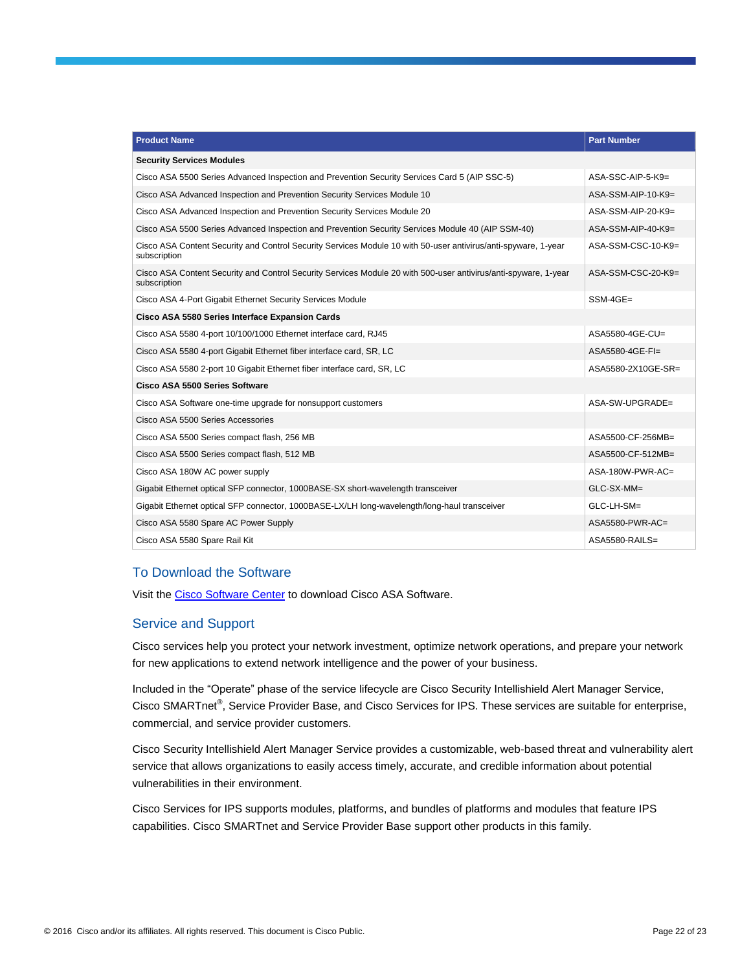| <b>Product Name</b>                                                                                                             | <b>Part Number</b> |  |
|---------------------------------------------------------------------------------------------------------------------------------|--------------------|--|
| <b>Security Services Modules</b>                                                                                                |                    |  |
| Cisco ASA 5500 Series Advanced Inspection and Prevention Security Services Card 5 (AIP SSC-5)                                   | ASA-SSC-AIP-5-K9=  |  |
| Cisco ASA Advanced Inspection and Prevention Security Services Module 10                                                        | ASA-SSM-AIP-10-K9= |  |
| Cisco ASA Advanced Inspection and Prevention Security Services Module 20                                                        | ASA-SSM-AIP-20-K9= |  |
| Cisco ASA 5500 Series Advanced Inspection and Prevention Security Services Module 40 (AIP SSM-40)                               | ASA-SSM-AIP-40-K9= |  |
| Cisco ASA Content Security and Control Security Services Module 10 with 50-user antivirus/anti-spyware, 1-year<br>subscription  | ASA-SSM-CSC-10-K9= |  |
| Cisco ASA Content Security and Control Security Services Module 20 with 500-user antivirus/anti-spyware, 1-year<br>subscription | ASA-SSM-CSC-20-K9= |  |
| Cisco ASA 4-Port Gigabit Ethernet Security Services Module                                                                      | $SSM-4GE=$         |  |
| Cisco ASA 5580 Series Interface Expansion Cards                                                                                 |                    |  |
| Cisco ASA 5580 4-port 10/100/1000 Ethernet interface card, RJ45                                                                 | ASA5580-4GE-CU=    |  |
| Cisco ASA 5580 4-port Gigabit Ethernet fiber interface card, SR, LC                                                             | ASA5580-4GE-FI=    |  |
| Cisco ASA 5580 2-port 10 Gigabit Ethernet fiber interface card, SR, LC                                                          | ASA5580-2X10GE-SR= |  |
| Cisco ASA 5500 Series Software                                                                                                  |                    |  |
| Cisco ASA Software one-time upgrade for nonsupport customers                                                                    | ASA-SW-UPGRADE=    |  |
| Cisco ASA 5500 Series Accessories                                                                                               |                    |  |
| Cisco ASA 5500 Series compact flash, 256 MB                                                                                     | ASA5500-CF-256MB=  |  |
| Cisco ASA 5500 Series compact flash, 512 MB                                                                                     | ASA5500-CF-512MB=  |  |
| Cisco ASA 180W AC power supply                                                                                                  | ASA-180W-PWR-AC=   |  |
| Gigabit Ethernet optical SFP connector, 1000BASE-SX short-wavelength transceiver                                                | GLC-SX-MM=         |  |
| Gigabit Ethernet optical SFP connector, 1000BASE-LX/LH long-wavelength/long-haul transceiver                                    | GLC-LH-SM=         |  |
| Cisco ASA 5580 Spare AC Power Supply                                                                                            | $ASA5580-PWR-AC=$  |  |
| Cisco ASA 5580 Spare Rail Kit                                                                                                   | $ASA5580-RAILS =$  |  |

#### To Download the Software

Visit th[e Cisco Software Center](https://software.cisco.com/download/navigator.html) to download Cisco ASA Software.

#### Service and Support

Cisco services help you protect your network investment, optimize network operations, and prepare your network for new applications to extend network intelligence and the power of your business.

Included in the "Operate" phase of the service lifecycle are Cisco Security Intellishield Alert Manager Service, Cisco SMARTnet<sup>®</sup>, Service Provider Base, and Cisco Services for IPS. These services are suitable for enterprise, commercial, and service provider customers.

Cisco Security Intellishield Alert Manager Service provides a customizable, web-based threat and vulnerability alert service that allows organizations to easily access timely, accurate, and credible information about potential vulnerabilities in their environment.

Cisco Services for IPS supports modules, platforms, and bundles of platforms and modules that feature IPS capabilities. Cisco SMARTnet and Service Provider Base support other products in this family.